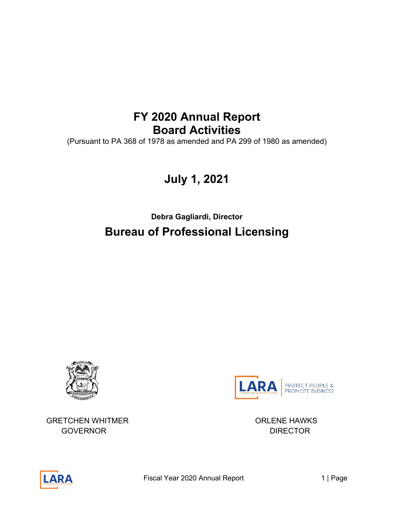# **FY 2020 Annual Report Board Activities**

(Pursuant to PA 368 of 1978 as amended and PA 299 of 1980 as amended)

# **July 1, 2021**

**Debra Gagliardi, Director Bureau of Professional Licensing**





GRETCHEN WHITMER **ORLENE HAWKS** GOVERNOR DIRECTOR

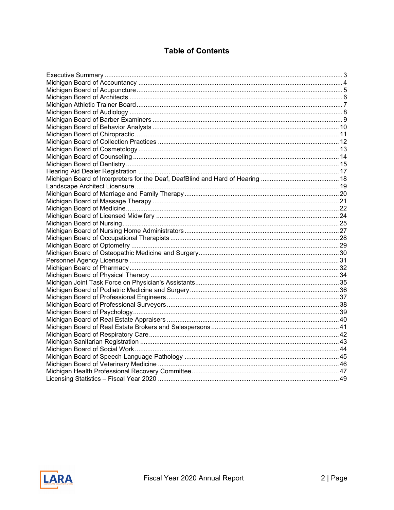# **Table of Contents**

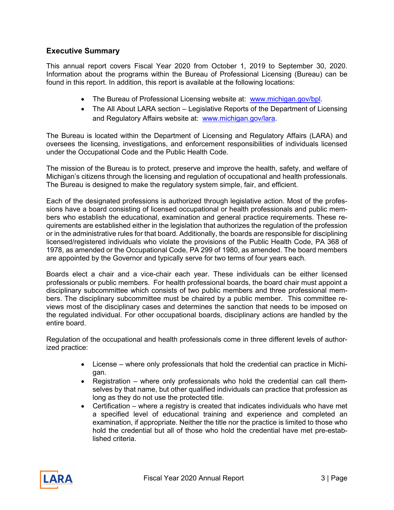# <span id="page-2-0"></span>**Executive Summary**

This annual report covers Fiscal Year 2020 from October 1, 2019 to September 30, 2020. Information about the programs within the Bureau of Professional Licensing (Bureau) can be found in this report. In addition, this report is available at the following locations:

- The Bureau of Professional Licensing website at: [www.michigan.gov/bpl.](http://www.michigan.gov/bpl)
- The All About LARA section Legislative Reports of the Department of Licensing and Regulatory Affairs website at: [www.michigan.gov/lara.](http://www.michigan.gov/lara)

The Bureau is located within the Department of Licensing and Regulatory Affairs (LARA) and oversees the licensing, investigations, and enforcement responsibilities of individuals licensed under the Occupational Code and the Public Health Code.

The mission of the Bureau is to protect, preserve and improve the health, safety, and welfare of Michigan's citizens through the licensing and regulation of occupational and health professionals. The Bureau is designed to make the regulatory system simple, fair, and efficient.

Each of the designated professions is authorized through legislative action. Most of the professions have a board consisting of licensed occupational or health professionals and public members who establish the educational, examination and general practice requirements. These requirements are established either in the legislation that authorizes the regulation of the profession or in the administrative rules for that board. Additionally, the boards are responsible for disciplining licensed/registered individuals who violate the provisions of the Public Health Code, PA 368 of 1978, as amended or the Occupational Code, PA 299 of 1980, as amended. The board members are appointed by the Governor and typically serve for two terms of four years each.

Boards elect a chair and a vice-chair each year. These individuals can be either licensed professionals or public members. For health professional boards, the board chair must appoint a disciplinary subcommittee which consists of two public members and three professional members. The disciplinary subcommittee must be chaired by a public member. This committee reviews most of the disciplinary cases and determines the sanction that needs to be imposed on the regulated individual. For other occupational boards, disciplinary actions are handled by the entire board.

Regulation of the occupational and health professionals come in three different levels of authorized practice:

- License where only professionals that hold the credential can practice in Michigan.
- Registration where only professionals who hold the credential can call themselves by that name, but other qualified individuals can practice that profession as long as they do not use the protected title.
- Certification where a registry is created that indicates individuals who have met a specified level of educational training and experience and completed an examination, if appropriate. Neither the title nor the practice is limited to those who hold the credential but all of those who hold the credential have met pre-established criteria.

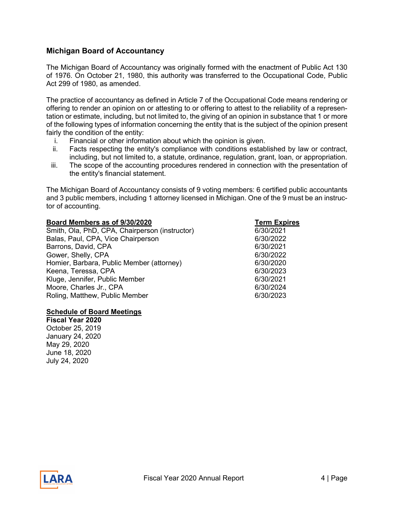# <span id="page-3-0"></span>**Michigan Board of Accountancy**

The Michigan Board of Accountancy was originally formed with the enactment of Public Act 130 of 1976. On October 21, 1980, this authority was transferred to the Occupational Code, Public Act 299 of 1980, as amended.

The practice of accountancy as defined in Article 7 of the Occupational Code means rendering or offering to render an opinion on or attesting to or offering to attest to the reliability of a representation or estimate, including, but not limited to, the giving of an opinion in substance that 1 or more of the following types of information concerning the entity that is the subject of the opinion present fairly the condition of the entity:

- i. Financial or other information about which the opinion is given.
- ii. Facts respecting the entity's compliance with conditions established by law or contract, including, but not limited to, a statute, ordinance, regulation, grant, loan, or appropriation.
- iii. The scope of the accounting procedures rendered in connection with the presentation of the entity's financial statement.

The Michigan Board of Accountancy consists of 9 voting members: 6 certified public accountants and 3 public members, including 1 attorney licensed in Michigan. One of the 9 must be an instructor of accounting.

| Board Members as of 9/30/2020                  | <b>Term Expires</b> |
|------------------------------------------------|---------------------|
| Smith, Ola, PhD, CPA, Chairperson (instructor) | 6/30/2021           |
| Balas, Paul, CPA, Vice Chairperson             | 6/30/2022           |
| Barrons, David, CPA                            | 6/30/2021           |
| Gower, Shelly, CPA                             | 6/30/2022           |
| Homier, Barbara, Public Member (attorney)      | 6/30/2020           |
| Keena, Teressa, CPA                            | 6/30/2023           |
| Kluge, Jennifer, Public Member                 | 6/30/2021           |
| Moore, Charles Jr., CPA                        | 6/30/2024           |
| Roling, Matthew, Public Member                 | 6/30/2023           |

#### **Schedule of Board Meetings**

**Fiscal Year 2020** October 25, 2019 January 24, 2020 May 29, 2020 June 18, 2020 July 24, 2020

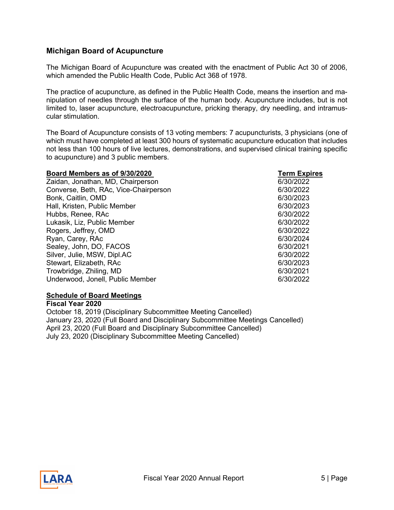# <span id="page-4-0"></span>**Michigan Board of Acupuncture**

The Michigan Board of Acupuncture was created with the enactment of Public Act 30 of 2006, which amended the Public Health Code, Public Act 368 of 1978.

The practice of acupuncture, as defined in the Public Health Code, means the insertion and manipulation of needles through the surface of the human body. Acupuncture includes, but is not limited to, laser acupuncture, electroacupuncture, pricking therapy, dry needling, and intramuscular stimulation.

The Board of Acupuncture consists of 13 voting members: 7 acupuncturists, 3 physicians (one of which must have completed at least 300 hours of systematic acupuncture education that includes not less than 100 hours of live lectures, demonstrations, and supervised clinical training specific to acupuncture) and 3 public members.

# **Board Members as of 9/30/2020**<br> **Expires**<br>
Zaidan, Jonathan, MD, Chairperson

Zaidan, Jonathan, MD, Chairperson Converse, Beth, RAc, Vice-Chairperson 6/30/2022 Bonk, Caitlin, OMD 6/30/2023 Hall, Kristen, Public Member 6/30/2023 Hubbs, Renee, RAc 6/30/2022 Lukasik, Liz, Public Member 6/30/2022 Rogers, Jeffrey, OMD 6/30/2022 Ryan, Carey, RAc 6/30/2024 Sealey, John, DO, FACOS 6/30/2021 Silver, Julie, MSW, Dipl.AC 6/30/2022 Stewart, Elizabeth, RAc 6/30/2023<br>Trowbridge, Zhiling, MD Trowbridge, Zhiling, MD Underwood, Jonell, Public Member 6/30/2022

### **Schedule of Board Meetings**

**Fiscal Year 2020** October 18, 2019 (Disciplinary Subcommittee Meeting Cancelled) January 23, 2020 (Full Board and Disciplinary Subcommittee Meetings Cancelled) April 23, 2020 (Full Board and Disciplinary Subcommittee Cancelled) July 23, 2020 (Disciplinary Subcommittee Meeting Cancelled)

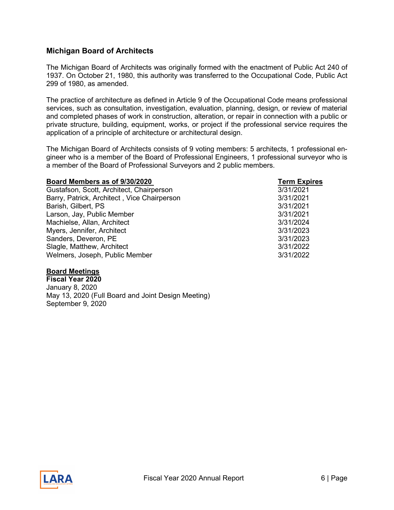# <span id="page-5-0"></span>**Michigan Board of Architects**

The Michigan Board of Architects was originally formed with the enactment of Public Act 240 of 1937. On October 21, 1980, this authority was transferred to the Occupational Code, Public Act 299 of 1980, as amended.

The practice of architecture as defined in Article 9 of the Occupational Code means professional services, such as consultation, investigation, evaluation, planning, design, or review of material and completed phases of work in construction, alteration, or repair in connection with a public or private structure, building, equipment, works, or project if the professional service requires the application of a principle of architecture or architectural design.

The Michigan Board of Architects consists of 9 voting members: 5 architects, 1 professional engineer who is a member of the Board of Professional Engineers, 1 professional surveyor who is a member of the Board of Professional Surveyors and 2 public members.

| Board Members as of 9/30/2020               | <b>Term Expires</b> |
|---------------------------------------------|---------------------|
| Gustafson, Scott, Architect, Chairperson    | 3/31/2021           |
| Barry, Patrick, Architect, Vice Chairperson | 3/31/2021           |
| Barish, Gilbert, PS                         | 3/31/2021           |
| Larson, Jay, Public Member                  | 3/31/2021           |
| Machielse, Allan, Architect                 | 3/31/2024           |
| Myers, Jennifer, Architect                  | 3/31/2023           |
| Sanders, Deveron, PE                        | 3/31/2023           |
| Slagle, Matthew, Architect                  | 3/31/2022           |
| Welmers, Joseph, Public Member              | 3/31/2022           |

#### **Board Meetings**

**Fiscal Year 2020** January 8, 2020 May 13, 2020 (Full Board and Joint Design Meeting) September 9, 2020

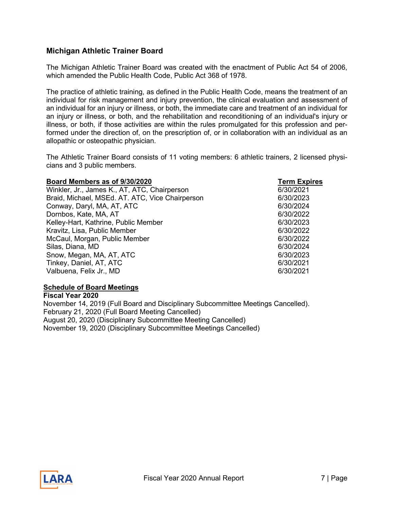# <span id="page-6-0"></span>**Michigan Athletic Trainer Board**

The Michigan Athletic Trainer Board was created with the enactment of Public Act 54 of 2006, which amended the Public Health Code, Public Act 368 of 1978.

The practice of athletic training, as defined in the Public Health Code, means the treatment of an individual for risk management and injury prevention, the clinical evaluation and assessment of an individual for an injury or illness, or both, the immediate care and treatment of an individual for an injury or illness, or both, and the rehabilitation and reconditioning of an individual's injury or illness, or both, if those activities are within the rules promulgated for this profession and performed under the direction of, on the prescription of, or in collaboration with an individual as an allopathic or osteopathic physician.

The Athletic Trainer Board consists of 11 voting members: 6 athletic trainers, 2 licensed physicians and 3 public members.

| Board Members as of 9/30/2020                   | <b>Term Expires</b> |
|-------------------------------------------------|---------------------|
| Winkler, Jr., James K., AT, ATC, Chairperson    | 6/30/2021           |
| Braid, Michael, MSEd. AT. ATC, Vice Chairperson | 6/30/2023           |
| Conway, Daryl, MA, AT, ATC                      | 6/30/2024           |
| Dornbos, Kate, MA, AT                           | 6/30/2022           |
| Kelley-Hart, Kathrine, Public Member            | 6/30/2023           |
| Kravitz, Lisa, Public Member                    | 6/30/2022           |
| McCaul, Morgan, Public Member                   | 6/30/2022           |
| Silas, Diana, MD                                | 6/30/2024           |
| Snow, Megan, MA, AT, ATC                        | 6/30/2023           |
| Tinkey, Daniel, AT, ATC                         | 6/30/2021           |
| Valbuena, Felix Jr., MD                         | 6/30/2021           |

### **Schedule of Board Meetings**

**Fiscal Year 2020** November 14, 2019 (Full Board and Disciplinary Subcommittee Meetings Cancelled). February 21, 2020 (Full Board Meeting Cancelled) August 20, 2020 (Disciplinary Subcommittee Meeting Cancelled) November 19, 2020 (Disciplinary Subcommittee Meetings Cancelled)

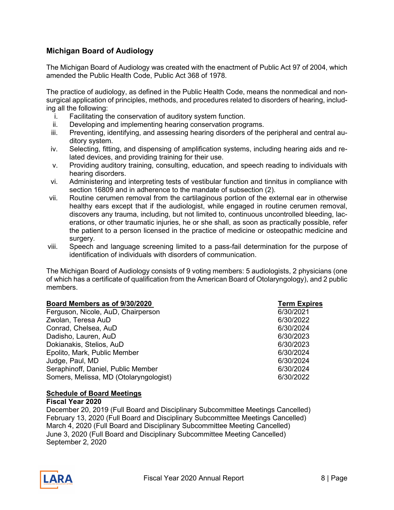# <span id="page-7-0"></span>**Michigan Board of Audiology**

The Michigan Board of Audiology was created with the enactment of Public Act 97 of 2004, which amended the Public Health Code, Public Act 368 of 1978.

The practice of audiology, as defined in the Public Health Code, means the nonmedical and nonsurgical application of principles, methods, and procedures related to disorders of hearing, including all the following:

- i. Facilitating the conservation of auditory system function.
- ii. Developing and implementing hearing conservation programs.
- iii. Preventing, identifying, and assessing hearing disorders of the peripheral and central auditory system.
- iv. Selecting, fitting, and dispensing of amplification systems, including hearing aids and related devices, and providing training for their use.
- v. Providing auditory training, consulting, education, and speech reading to individuals with hearing disorders.
- vi. Administering and interpreting tests of vestibular function and tinnitus in compliance with section 16809 and in adherence to the mandate of subsection (2).
- vii. Routine cerumen removal from the cartilaginous portion of the external ear in otherwise healthy ears except that if the audiologist, while engaged in routine cerumen removal, discovers any trauma, including, but not limited to, continuous uncontrolled bleeding, lacerations, or other traumatic injuries, he or she shall, as soon as practically possible, refer the patient to a person licensed in the practice of medicine or osteopathic medicine and surgery.
- viii. Speech and language screening limited to a pass-fail determination for the purpose of identification of individuals with disorders of communication.

The Michigan Board of Audiology consists of 9 voting members: 5 audiologists, 2 physicians (one of which has a certificate of qualification from the American Board of Otolaryngology), and 2 public members.

| Board Members as of 9/30/2020          | <b>Term Expires</b> |
|----------------------------------------|---------------------|
| Ferguson, Nicole, AuD, Chairperson     | 6/30/2021           |
| Zwolan, Teresa AuD                     | 6/30/2022           |
| Conrad, Chelsea, AuD                   | 6/30/2024           |
| Dadisho, Lauren, AuD                   | 6/30/2023           |
| Dokianakis, Stelios, AuD               | 6/30/2023           |
| Epolito, Mark, Public Member           | 6/30/2024           |
| Judge, Paul, MD                        | 6/30/2024           |
| Seraphinoff, Daniel, Public Member     | 6/30/2024           |
| Somers, Melissa, MD (Otolaryngologist) | 6/30/2022           |

#### **Schedule of Board Meetings**

#### **Fiscal Year 2020**

December 20, 2019 (Full Board and Disciplinary Subcommittee Meetings Cancelled) February 13, 2020 (Full Board and Disciplinary Subcommittee Meetings Cancelled) March 4, 2020 (Full Board and Disciplinary Subcommittee Meeting Cancelled) June 3, 2020 (Full Board and Disciplinary Subcommittee Meeting Cancelled) September 2, 2020

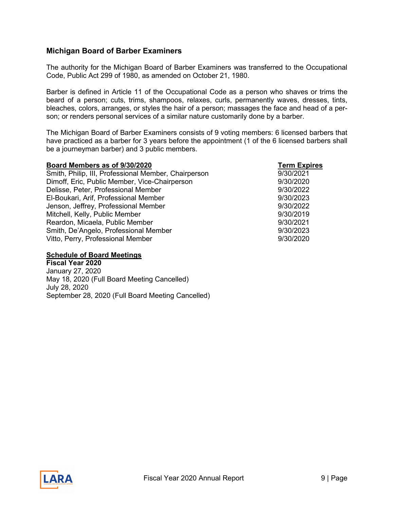# <span id="page-8-0"></span>**Michigan Board of Barber Examiners**

The authority for the Michigan Board of Barber Examiners was transferred to the Occupational Code, Public Act 299 of 1980, as amended on October 21, 1980.

Barber is defined in Article 11 of the Occupational Code as a person who shaves or trims the beard of a person; cuts, trims, shampoos, relaxes, curls, permanently waves, dresses, tints, bleaches, colors, arranges, or styles the hair of a person; massages the face and head of a person; or renders personal services of a similar nature customarily done by a barber.

The Michigan Board of Barber Examiners consists of 9 voting members: 6 licensed barbers that have practiced as a barber for 3 years before the appointment (1 of the 6 licensed barbers shall be a journeyman barber) and 3 public members.

| Board Members as of 9/30/2020                        | <b>Term Expires</b> |
|------------------------------------------------------|---------------------|
| Smith, Philip, III, Professional Member, Chairperson | 9/30/2021           |
| Dimoff, Eric, Public Member, Vice-Chairperson        | 9/30/2020           |
| Delisse, Peter, Professional Member                  | 9/30/2022           |
| El-Boukari, Arif, Professional Member                | 9/30/2023           |
| Jenson, Jeffrey, Professional Member                 | 9/30/2022           |
| Mitchell, Kelly, Public Member                       | 9/30/2019           |
| Reardon, Micaela, Public Member                      | 9/30/2021           |
| Smith, De'Angelo, Professional Member                | 9/30/2023           |
| Vitto, Perry, Professional Member                    | 9/30/2020           |

#### **Schedule of Board Meetings**

**Fiscal Year 2020** January 27, 2020 May 18, 2020 (Full Board Meeting Cancelled) July 28, 2020 September 28, 2020 (Full Board Meeting Cancelled)

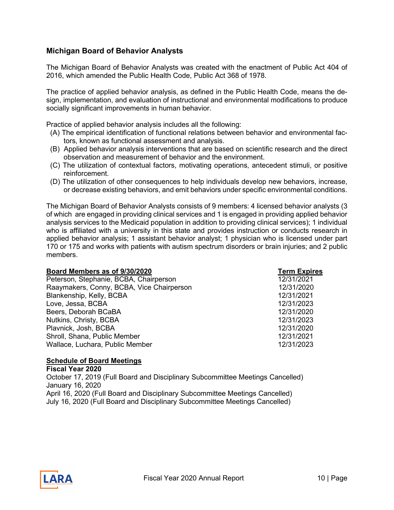# <span id="page-9-0"></span>**Michigan Board of Behavior Analysts**

The Michigan Board of Behavior Analysts was created with the enactment of Public Act 404 of 2016, which amended the Public Health Code, Public Act 368 of 1978.

The practice of applied behavior analysis, as defined in the Public Health Code, means the design, implementation, and evaluation of instructional and environmental modifications to produce socially significant improvements in human behavior.

Practice of applied behavior analysis includes all the following:

- (A) The empirical identification of functional relations between behavior and environmental factors, known as functional assessment and analysis.
- (B) Applied behavior analysis interventions that are based on scientific research and the direct observation and measurement of behavior and the environment.
- (C) The utilization of contextual factors, motivating operations, antecedent stimuli, or positive reinforcement.
- (D) The utilization of other consequences to help individuals develop new behaviors, increase, or decrease existing behaviors, and emit behaviors under specific environmental conditions.

The Michigan Board of Behavior Analysts consists of 9 members: 4 licensed behavior analysts (3 of which are engaged in providing clinical services and 1 is engaged in providing applied behavior analysis services to the Medicaid population in addition to providing clinical services); 1 individual who is affiliated with a university in this state and provides instruction or conducts research in applied behavior analysis; 1 assistant behavior analyst; 1 physician who is licensed under part 170 or 175 and works with patients with autism spectrum disorders or brain injuries; and 2 public members.

| Board Members as of 9/30/2020             | <b>Term Expires</b> |
|-------------------------------------------|---------------------|
| Peterson, Stephanie, BCBA, Chairperson    | 12/31/2021          |
| Raaymakers, Conny, BCBA, Vice Chairperson | 12/31/2020          |
| Blankenship, Kelly, BCBA                  | 12/31/2021          |
| Love, Jessa, BCBA                         | 12/31/2023          |
| Beers, Deborah BCaBA                      | 12/31/2020          |
| Nutkins, Christy, BCBA                    | 12/31/2023          |
| Plavnick, Josh, BCBA                      | 12/31/2020          |
| Shroll, Shana, Public Member              | 12/31/2021          |
| Wallace, Luchara, Public Member           | 12/31/2023          |

### **Schedule of Board Meetings**

**Fiscal Year 2020** October 17, 2019 (Full Board and Disciplinary Subcommittee Meetings Cancelled) January 16, 2020 April 16, 2020 (Full Board and Disciplinary Subcommittee Meetings Cancelled) July 16, 2020 (Full Board and Disciplinary Subcommittee Meetings Cancelled)

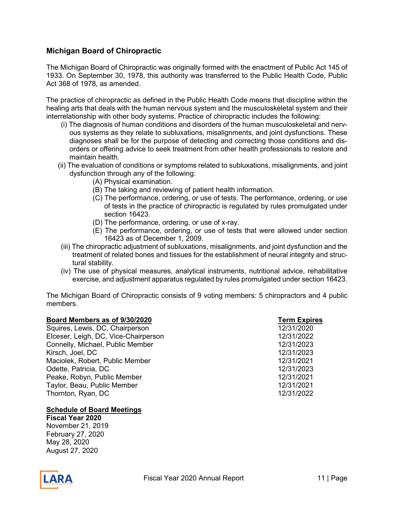# <span id="page-10-0"></span>**Michigan Board of Chiropractic**

The Michigan Board of Chiropractic was originally formed with the enactment of Public Act 145 of 1933. On September 30, 1978, this authority was transferred to the Public Health Code, Public Act 368 of 1978, as amended.

The practice of chiropractic as defined in the Public Health Code means that discipline within the healing arts that deals with the human nervous system and the musculoskeletal system and their interrelationship with other body systems. Practice of chiropractic includes the following:

- (i) The diagnosis of human conditions and disorders of the human musculoskeletal and nervous systems as they relate to subluxations, misalignments, and joint dysfunctions. These diagnoses shall be for the purpose of detecting and correcting those conditions and disorders or offering advice to seek treatment from other health professionals to restore and maintain health.
- (ii) The evaluation of conditions or symptoms related to subluxations, misalignments, and joint dysfunction through any of the following:
	- (A) Physical examination.
	- (B) The taking and reviewing of patient health information.
	- (C) The performance, ordering, or use of tests. The performance, ordering, or use of tests in the practice of chiropractic is regulated by rules promulgated under section 16423.
	- (D) The performance, ordering, or use of x-ray.
	- (E) The performance, ordering, or use of tests that were allowed under section 16423 as of December 1, 2009.
- (iii) The chiropractic adjustment of subluxations, misalignments, and joint dysfunction and the treatment of related bones and tissues for the establishment of neural integrity and structural stability.
- (iv) The use of physical measures, analytical instruments, nutritional advice, rehabilitative exercise, and adjustment apparatus regulated by rules promulgated under section 16423.

The Michigan Board of Chiropractic consists of 9 voting members: 5 chiropractors and 4 public members.

| Board Members as of 9/30/2020        | <b>Term Expires</b> |
|--------------------------------------|---------------------|
| Squires, Lewis, DC, Chairperson      | 12/31/2020          |
| Elceser, Leigh, DC, Vice-Chairperson | 12/31/2022          |
| Connelly, Michael, Public Member     | 12/31/2023          |
| Kirsch, Joel, DC                     | 12/31/2023          |
| Maciolek, Robert, Public Member      | 12/31/2021          |
| Odette, Patricia, DC                 | 12/31/2023          |
| Peake, Robyn, Public Member          | 12/31/2021          |
| Taylor, Beau, Public Member          | 12/31/2021          |
| Thornton, Ryan, DC                   | 12/31/2022          |
|                                      |                     |

#### **Schedule of Board Meetings**

**Fiscal Year 2020** November 21, 2019 February 27, 2020 May 28, 2020 August 27, 2020

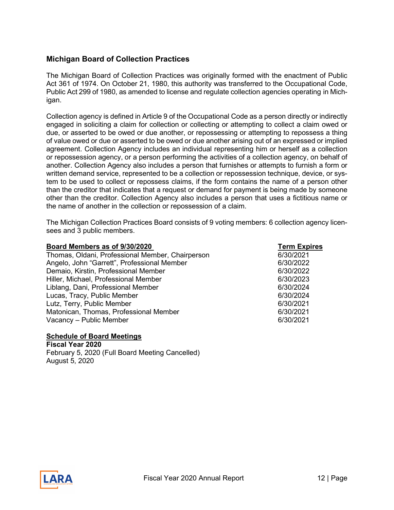# <span id="page-11-0"></span>**Michigan Board of Collection Practices**

The Michigan Board of Collection Practices was originally formed with the enactment of Public Act 361 of 1974. On October 21, 1980, this authority was transferred to the Occupational Code, Public Act 299 of 1980, as amended to license and regulate collection agencies operating in Michigan.

Collection agency is defined in Article 9 of the Occupational Code as a person directly or indirectly engaged in soliciting a claim for collection or collecting or attempting to collect a claim owed or due, or asserted to be owed or due another, or repossessing or attempting to repossess a thing of value owed or due or asserted to be owed or due another arising out of an expressed or implied agreement. Collection Agency includes an individual representing him or herself as a collection or repossession agency, or a person performing the activities of a collection agency, on behalf of another. Collection Agency also includes a person that furnishes or attempts to furnish a form or written demand service, represented to be a collection or repossession technique, device, or system to be used to collect or repossess claims, if the form contains the name of a person other than the creditor that indicates that a request or demand for payment is being made by someone other than the creditor. Collection Agency also includes a person that uses a fictitious name or the name of another in the collection or repossession of a claim.

The Michigan Collection Practices Board consists of 9 voting members: 6 collection agency licensees and 3 public members.

| Board Members as of 9/30/2020                    | <b>Term Expires</b> |
|--------------------------------------------------|---------------------|
| Thomas, Oldani, Professional Member, Chairperson | 6/30/2021           |
| Angelo, John "Garrett", Professional Member      | 6/30/2022           |
| Demaio, Kirstin, Professional Member             | 6/30/2022           |
| Hiller, Michael, Professional Member             | 6/30/2023           |
| Liblang, Dani, Professional Member               | 6/30/2024           |
| Lucas, Tracy, Public Member                      | 6/30/2024           |
| Lutz, Terry, Public Member                       | 6/30/2021           |
| Matonican, Thomas, Professional Member           | 6/30/2021           |
| Vacancy - Public Member                          | 6/30/2021           |

#### **Schedule of Board Meetings**

**Fiscal Year 2020** February 5, 2020 (Full Board Meeting Cancelled) August 5, 2020

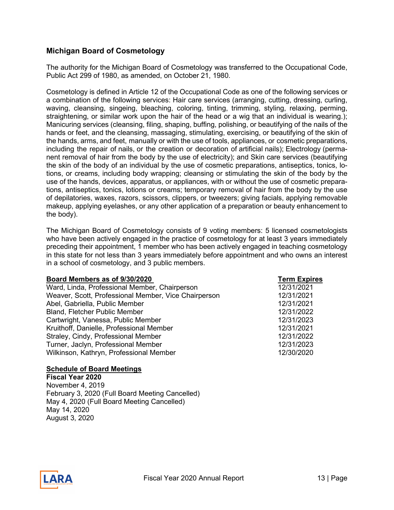# <span id="page-12-0"></span>**Michigan Board of Cosmetology**

The authority for the Michigan Board of Cosmetology was transferred to the Occupational Code, Public Act 299 of 1980, as amended, on October 21, 1980.

Cosmetology is defined in Article 12 of the Occupational Code as one of the following services or a combination of the following services: Hair care services (arranging, cutting, dressing, curling, waving, cleansing, singeing, bleaching, coloring, tinting, trimming, styling, relaxing, perming, straightening, or similar work upon the hair of the head or a wig that an individual is wearing.); Manicuring services (cleansing, filing, shaping, buffing, polishing, or beautifying of the nails of the hands or feet, and the cleansing, massaging, stimulating, exercising, or beautifying of the skin of the hands, arms, and feet, manually or with the use of tools, appliances, or cosmetic preparations, including the repair of nails, or the creation or decoration of artificial nails); Electrology (permanent removal of hair from the body by the use of electricity); and Skin care services (beautifying the skin of the body of an individual by the use of cosmetic preparations, antiseptics, tonics, lotions, or creams, including body wrapping; cleansing or stimulating the skin of the body by the use of the hands, devices, apparatus, or appliances, with or without the use of cosmetic preparations, antiseptics, tonics, lotions or creams; temporary removal of hair from the body by the use of depilatories, waxes, razors, scissors, clippers, or tweezers; giving facials, applying removable makeup, applying eyelashes, or any other application of a preparation or beauty enhancement to the body).

The Michigan Board of Cosmetology consists of 9 voting members: 5 licensed cosmetologists who have been actively engaged in the practice of cosmetology for at least 3 years immediately preceding their appointment, 1 member who has been actively engaged in teaching cosmetology in this state for not less than 3 years immediately before appointment and who owns an interest in a school of cosmetology, and 3 public members.

| Board Members as of 9/30/2020                        | <b>Term Expires</b> |
|------------------------------------------------------|---------------------|
| Ward, Linda, Professional Member, Chairperson        | 12/31/2021          |
| Weaver, Scott, Professional Member, Vice Chairperson | 12/31/2021          |
| Abel, Gabriella, Public Member                       | 12/31/2021          |
| <b>Bland, Fletcher Public Member</b>                 | 12/31/2022          |
| Cartwright, Vanessa, Public Member                   | 12/31/2023          |
| Kruithoff, Danielle, Professional Member             | 12/31/2021          |
| Straley, Cindy, Professional Member                  | 12/31/2022          |
| Turner, Jaclyn, Professional Member                  | 12/31/2023          |
| Wilkinson, Kathryn, Professional Member              | 12/30/2020          |

### **Schedule of Board Meetings**

**Fiscal Year 2020**  November 4, 2019 February 3, 2020 (Full Board Meeting Cancelled) May 4, 2020 (Full Board Meeting Cancelled) May 14, 2020 August 3, 2020

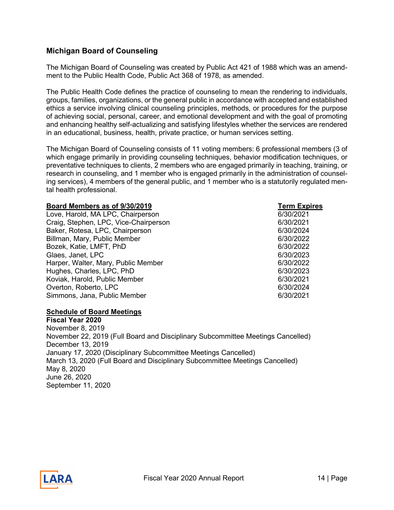# <span id="page-13-0"></span>**Michigan Board of Counseling**

The Michigan Board of Counseling was created by Public Act 421 of 1988 which was an amendment to the Public Health Code, Public Act 368 of 1978, as amended.

The Public Health Code defines the practice of counseling to mean the rendering to individuals, groups, families, organizations, or the general public in accordance with accepted and established ethics a service involving clinical counseling principles, methods, or procedures for the purpose of achieving social, personal, career, and emotional development and with the goal of promoting and enhancing healthy self-actualizing and satisfying lifestyles whether the services are rendered in an educational, business, health, private practice, or human services setting.

The Michigan Board of Counseling consists of 11 voting members: 6 professional members (3 of which engage primarily in providing counseling techniques, behavior modification techniques, or preventative techniques to clients, 2 members who are engaged primarily in teaching, training, or research in counseling, and 1 member who is engaged primarily in the administration of counseling services), 4 members of the general public, and 1 member who is a statutorily regulated mental health professional.

#### **Board Members as of 9/30/2019 Term Expires**

Love, Harold, MA LPC, Chairperson 6/30/2021 Craig, Stephen, LPC, Vice-Chairperson 6/30/2021 Baker, Rotesa, LPC, Chairperson 6/30/2024 Billman, Mary, Public Member 6/30/2022 Bozek, Katie, LMFT, PhD 6/30/2022 Glaes, Janet, LPC 6/30/2023 Harper, Walter, Mary, Public Member 6/30/2022 Hughes, Charles, LPC, PhD 6/30/2023 Koviak, Harold, Public Member Overton, Roberto, LPC 6/30/2024 Simmons, Jana, Public Member 6/30/2021

#### **Schedule of Board Meetings**

**Fiscal Year 2020**  November 8, 2019 November 22, 2019 (Full Board and Disciplinary Subcommittee Meetings Cancelled) December 13, 2019 January 17, 2020 (Disciplinary Subcommittee Meetings Cancelled) March 13, 2020 (Full Board and Disciplinary Subcommittee Meetings Cancelled) May 8, 2020 June 26, 2020 September 11, 2020

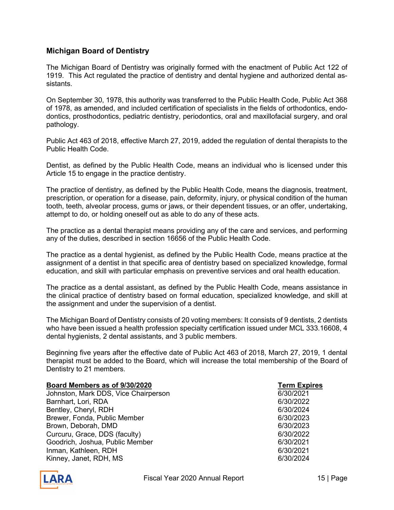# <span id="page-14-0"></span>**Michigan Board of Dentistry**

The Michigan Board of Dentistry was originally formed with the enactment of Public Act 122 of 1919. This Act regulated the practice of dentistry and dental hygiene and authorized dental assistants.

On September 30, 1978, this authority was transferred to the Public Health Code, Public Act 368 of 1978, as amended, and included certification of specialists in the fields of orthodontics, endodontics, prosthodontics, pediatric dentistry, periodontics, oral and maxillofacial surgery, and oral pathology.

Public Act 463 of 2018, effective March 27, 2019, added the regulation of dental therapists to the Public Health Code.

Dentist, as defined by the Public Health Code, means an individual who is licensed under this Article 15 to engage in the practice dentistry.

The practice of dentistry, as defined by the Public Health Code, means the diagnosis, treatment, prescription, or operation for a disease, pain, deformity, injury, or physical condition of the human tooth, teeth, alveolar process, gums or jaws, or their dependent tissues, or an offer, undertaking, attempt to do, or holding oneself out as able to do any of these acts.

The practice as a dental therapist means providing any of the care and services, and performing any of the duties, described in section 16656 of the Public Health Code.

The practice as a dental hygienist, as defined by the Public Health Code, means practice at the assignment of a dentist in that specific area of dentistry based on specialized knowledge, formal education, and skill with particular emphasis on preventive services and oral health education.

The practice as a dental assistant, as defined by the Public Health Code, means assistance in the clinical practice of dentistry based on formal education, specialized knowledge, and skill at the assignment and under the supervision of a dentist.

The Michigan Board of Dentistry consists of 20 voting members: It consists of 9 dentists, 2 dentists who have been issued a health profession specialty certification issued under MCL 333.16608, 4 dental hygienists, 2 dental assistants, and 3 public members.

Beginning five years after the effective date of Public Act 463 of 2018, March 27, 2019, 1 dental therapist must be added to the Board, which will increase the total membership of the Board of Dentistry to 21 members.

| Board Members as of 9/30/2020        | <b>Term Expi</b> |
|--------------------------------------|------------------|
| Johnston, Mark DDS, Vice Chairperson | 6/30/2021        |
| Barnhart, Lori, RDA                  | 6/30/2022        |
| Bentley, Cheryl, RDH                 | 6/30/2024        |
| Brewer, Fonda, Public Member         | 6/30/2023        |
| Brown, Deborah, DMD                  | 6/30/2023        |
| Curcuru, Grace, DDS (faculty)        | 6/30/2022        |
| Goodrich, Joshua, Public Member      | 6/30/2021        |
| Inman, Kathleen, RDH                 | 6/30/2021        |
| Kinney, Janet, RDH, MS               | 6/30/2024        |

**<u>Brand Expires</u>**<br>6/30/2021

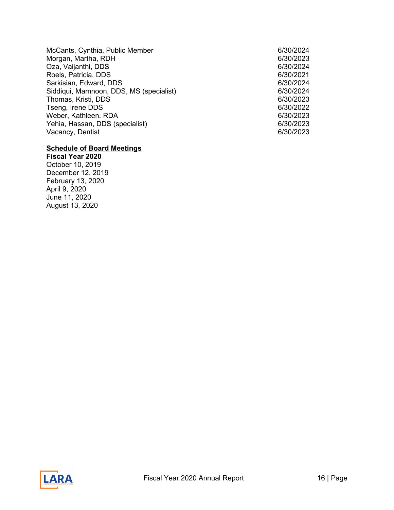McCants, Cynthia, Public Member 6/30/2024 Morgan, Martha, RDH 6/30/2023 Oza, Vaijanthi, DDS 6/30/2024 Roels, Patricia, DDS 6/30/2021 Sarkisian, Edward, DDS 6/30/2024 Siddiqui, Mamnoon, DDS, MS (specialist) 6/30/2024 Thomas, Kristi, DDS 6/30/2023 Tseng, Irene DDS 6/30/2022 Weber, Kathleen, RDA 6/30/2023 Yehia, Hassan, DDS (specialist) 6/30/2023 Vacancy, Dentist

#### **Schedule of Board Meetings**

**Fiscal Year 2020**  October 10, 2019 December 12, 2019 February 13, 2020 April 9, 2020 June 11, 2020 August 13, 2020

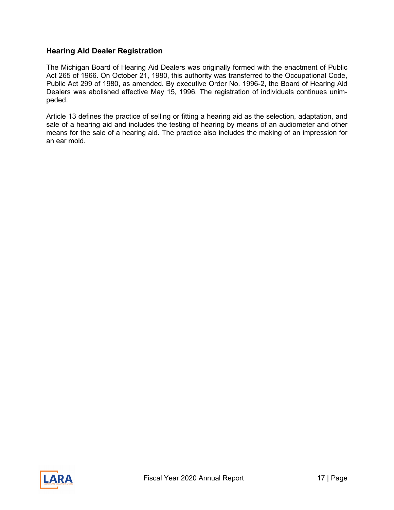# <span id="page-16-0"></span>**Hearing Aid Dealer Registration**

The Michigan Board of Hearing Aid Dealers was originally formed with the enactment of Public Act 265 of 1966. On October 21, 1980, this authority was transferred to the Occupational Code, Public Act 299 of 1980, as amended. By executive Order No. 1996-2, the Board of Hearing Aid Dealers was abolished effective May 15, 1996. The registration of individuals continues unimpeded.

Article 13 defines the practice of selling or fitting a hearing aid as the selection, adaptation, and sale of a hearing aid and includes the testing of hearing by means of an audiometer and other means for the sale of a hearing aid. The practice also includes the making of an impression for an ear mold.

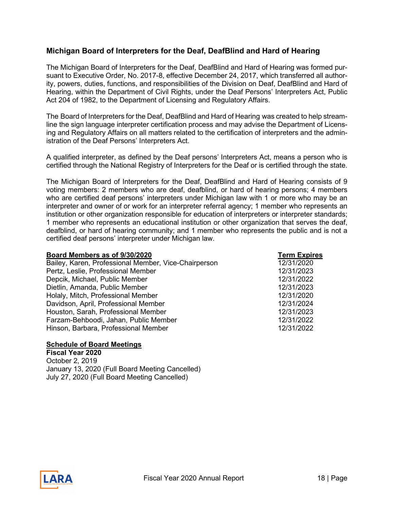# <span id="page-17-0"></span>**Michigan Board of Interpreters for the Deaf, DeafBlind and Hard of Hearing**

The Michigan Board of Interpreters for the Deaf, DeafBlind and Hard of Hearing was formed pursuant to Executive Order, No. 2017-8, effective December 24, 2017, which transferred all authority, powers, duties, functions, and responsibilities of the Division on Deaf, DeafBlind and Hard of Hearing, within the Department of Civil Rights, under the Deaf Persons' Interpreters Act, Public Act 204 of 1982, to the Department of Licensing and Regulatory Affairs.

The Board of Interpreters for the Deaf, DeafBlind and Hard of Hearing was created to help streamline the sign language interpreter certification process and may advise the Department of Licensing and Regulatory Affairs on all matters related to the certification of interpreters and the administration of the Deaf Persons' Interpreters Act.

A qualified interpreter, as defined by the Deaf persons' Interpreters Act, means a person who is certified through the National Registry of Interpreters for the Deaf or is certified through the state.

The Michigan Board of Interpreters for the Deaf, DeafBlind and Hard of Hearing consists of 9 voting members: 2 members who are deaf, deafblind, or hard of hearing persons; 4 members who are certified deaf persons' interpreters under Michigan law with 1 or more who may be an interpreter and owner of or work for an interpreter referral agency; 1 member who represents an institution or other organization responsible for education of interpreters or interpreter standards; 1 member who represents an educational institution or other organization that serves the deaf, deafblind, or hard of hearing community; and 1 member who represents the public and is not a certified deaf persons' interpreter under Michigan law.

| Board Members as of 9/30/2020                        | <b>Term Expires</b> |
|------------------------------------------------------|---------------------|
| Bailey, Karen, Professional Member, Vice-Chairperson | 12/31/2020          |
| Pertz, Leslie, Professional Member                   | 12/31/2023          |
| Depcik, Michael, Public Member                       | 12/31/2022          |
| Dietlin, Amanda, Public Member                       | 12/31/2023          |
| Holaly, Mitch, Professional Member                   | 12/31/2020          |
| Davidson, April, Professional Member                 | 12/31/2024          |
| Houston, Sarah, Professional Member                  | 12/31/2023          |
| Farzam-Behboodi, Jahan, Public Member                | 12/31/2022          |
| Hinson, Barbara, Professional Member                 | 12/31/2022          |
|                                                      |                     |

### **Schedule of Board Meetings**

**Fiscal Year 2020**  October 2, 2019 January 13, 2020 (Full Board Meeting Cancelled) July 27, 2020 (Full Board Meeting Cancelled)

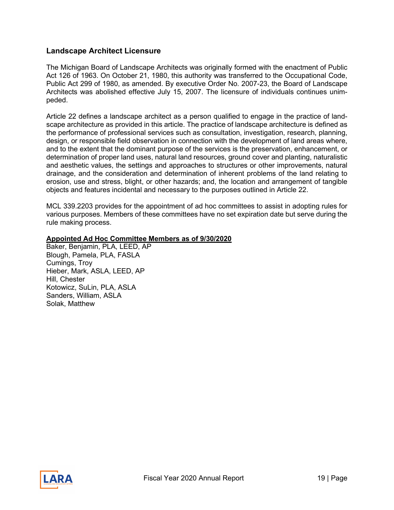## <span id="page-18-0"></span>**Landscape Architect Licensure**

The Michigan Board of Landscape Architects was originally formed with the enactment of Public Act 126 of 1963. On October 21, 1980, this authority was transferred to the Occupational Code, Public Act 299 of 1980, as amended. By executive Order No. 2007-23, the Board of Landscape Architects was abolished effective July 15, 2007. The licensure of individuals continues unimpeded.

Article 22 defines a landscape architect as a person qualified to engage in the practice of landscape architecture as provided in this article. The practice of landscape architecture is defined as the performance of professional services such as consultation, investigation, research, planning, design, or responsible field observation in connection with the development of land areas where, and to the extent that the dominant purpose of the services is the preservation, enhancement, or determination of proper land uses, natural land resources, ground cover and planting, naturalistic and aesthetic values, the settings and approaches to structures or other improvements, natural drainage, and the consideration and determination of inherent problems of the land relating to erosion, use and stress, blight, or other hazards; and, the location and arrangement of tangible objects and features incidental and necessary to the purposes outlined in Article 22.

MCL 339.2203 provides for the appointment of ad hoc committees to assist in adopting rules for various purposes. Members of these committees have no set expiration date but serve during the rule making process.

#### **Appointed Ad Hoc Committee Members as of 9/30/2020**

Baker, Benjamin, PLA, LEED, AP Blough, Pamela, PLA, FASLA Cumings, Troy Hieber, Mark, ASLA, LEED, AP Hill, Chester Kotowicz, SuLin, PLA, ASLA Sanders, William, ASLA Solak, Matthew

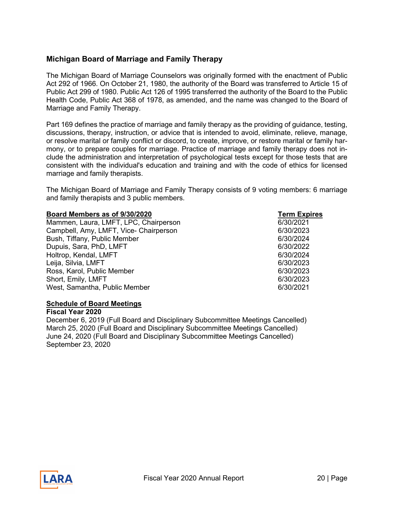# <span id="page-19-0"></span>**Michigan Board of Marriage and Family Therapy**

The Michigan Board of Marriage Counselors was originally formed with the enactment of Public Act 292 of 1966. On October 21, 1980, the authority of the Board was transferred to Article 15 of Public Act 299 of 1980. Public Act 126 of 1995 transferred the authority of the Board to the Public Health Code, Public Act 368 of 1978, as amended, and the name was changed to the Board of Marriage and Family Therapy.

Part 169 defines the practice of marriage and family therapy as the providing of guidance, testing, discussions, therapy, instruction, or advice that is intended to avoid, eliminate, relieve, manage, or resolve marital or family conflict or discord, to create, improve, or restore marital or family harmony, or to prepare couples for marriage. Practice of marriage and family therapy does not include the administration and interpretation of psychological tests except for those tests that are consistent with the individual's education and training and with the code of ethics for licensed marriage and family therapists.

The Michigan Board of Marriage and Family Therapy consists of 9 voting members: 6 marriage and family therapists and 3 public members.

### **Board Members as of 9/30/2020 Term Expires**

Mammen, Laura, LMFT, LPC, Chairperson 6/30/2021 Campbell, Amy, LMFT, Vice- Chairperson 6/30/2023 Bush, Tiffany, Public Member 6/30/2024 Dupuis, Sara, PhD, LMFT 6/30/2022 Holtrop, Kendal, LMFT 6/30/2024 Leija, Silvia, LMFT 6/30/2023 Ross, Karol, Public Member Short, Emily, LMFT 6/30/2023 West, Samantha, Public Member 6/30/2021

#### **Schedule of Board Meetings**

**Fiscal Year 2020**  December 6, 2019 (Full Board and Disciplinary Subcommittee Meetings Cancelled) March 25, 2020 (Full Board and Disciplinary Subcommittee Meetings Cancelled) June 24, 2020 (Full Board and Disciplinary Subcommittee Meetings Cancelled) September 23, 2020

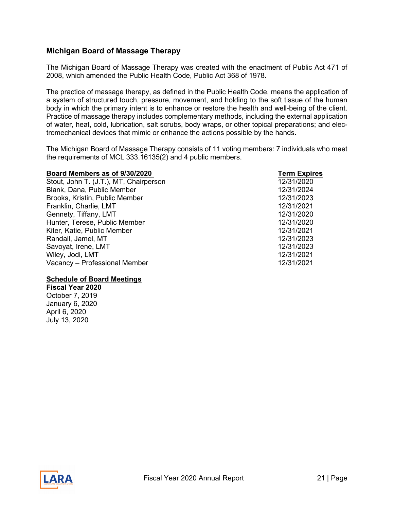# <span id="page-20-0"></span>**Michigan Board of Massage Therapy**

The Michigan Board of Massage Therapy was created with the enactment of Public Act 471 of 2008, which amended the Public Health Code, Public Act 368 of 1978.

The practice of massage therapy, as defined in the Public Health Code, means the application of a system of structured touch, pressure, movement, and holding to the soft tissue of the human body in which the primary intent is to enhance or restore the health and well-being of the client. Practice of massage therapy includes complementary methods, including the external application of water, heat, cold, lubrication, salt scrubs, body wraps, or other topical preparations; and electromechanical devices that mimic or enhance the actions possible by the hands.

The Michigan Board of Massage Therapy consists of 11 voting members: 7 individuals who meet the requirements of MCL 333.16135(2) and 4 public members.

| Board Members as of 9/30/2020          | <b>Term Expires</b> |
|----------------------------------------|---------------------|
| Stout, John T. (J.T.), MT, Chairperson | 12/31/2020          |
| Blank, Dana, Public Member             | 12/31/2024          |
| Brooks, Kristin, Public Member         | 12/31/2023          |
| Franklin, Charlie, LMT                 | 12/31/2021          |
| Gennety, Tiffany, LMT                  | 12/31/2020          |
| Hunter, Terese, Public Member          | 12/31/2020          |
| Kiter, Katie, Public Member            | 12/31/2021          |
| Randall, Jamel, MT                     | 12/31/2023          |
| Savoyat, Irene, LMT                    | 12/31/2023          |
| Wiley, Jodi, LMT                       | 12/31/2021          |
| Vacancy - Professional Member          | 12/31/2021          |

#### **Schedule of Board Meetings**

**Fiscal Year 2020** October 7, 2019 January 6, 2020 April 6, 2020 July 13, 2020



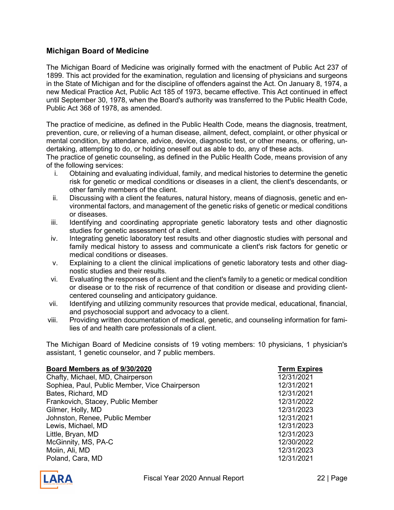# <span id="page-21-0"></span>**Michigan Board of Medicine**

The Michigan Board of Medicine was originally formed with the enactment of Public Act 237 of 1899. This act provided for the examination, regulation and licensing of physicians and surgeons in the State of Michigan and for the discipline of offenders against the Act. On January 8, 1974, a new Medical Practice Act, Public Act 185 of 1973, became effective. This Act continued in effect until September 30, 1978, when the Board's authority was transferred to the Public Health Code, Public Act 368 of 1978, as amended.

The practice of medicine, as defined in the Public Health Code, means the diagnosis, treatment, prevention, cure, or relieving of a human disease, ailment, defect, complaint, or other physical or mental condition, by attendance, advice, device, diagnostic test, or other means, or offering, undertaking, attempting to do, or holding oneself out as able to do, any of these acts.

The practice of genetic counseling, as defined in the Public Health Code, means provision of any of the following services:

- i. Obtaining and evaluating individual, family, and medical histories to determine the genetic risk for genetic or medical conditions or diseases in a client, the client's descendants, or other family members of the client.
- ii. Discussing with a client the features, natural history, means of diagnosis, genetic and environmental factors, and management of the genetic risks of genetic or medical conditions or diseases.
- iii. Identifying and coordinating appropriate genetic laboratory tests and other diagnostic studies for genetic assessment of a client.
- iv. Integrating genetic laboratory test results and other diagnostic studies with personal and family medical history to assess and communicate a client's risk factors for genetic or medical conditions or diseases.
- v. Explaining to a client the clinical implications of genetic laboratory tests and other diagnostic studies and their results.
- vi. Evaluating the responses of a client and the client's family to a genetic or medical condition or disease or to the risk of recurrence of that condition or disease and providing clientcentered counseling and anticipatory guidance.
- vii. Identifying and utilizing community resources that provide medical, educational, financial, and psychosocial support and advocacy to a client.
- viii. Providing written documentation of medical, genetic, and counseling information for families of and health care professionals of a client.

The Michigan Board of Medicine consists of 19 voting members: 10 physicians, 1 physician's assistant, 1 genetic counselor, and 7 public members.

| Board Members as of 9/30/2020                  | <b>Term Expires</b> |
|------------------------------------------------|---------------------|
| Chafty, Michael, MD, Chairperson               | 12/31/2021          |
| Sophiea, Paul, Public Member, Vice Chairperson | 12/31/2021          |
| Bates, Richard, MD                             | 12/31/2021          |
| Frankovich, Stacey, Public Member              | 12/31/2022          |
| Gilmer, Holly, MD                              | 12/31/2023          |
| Johnston, Renee, Public Member                 | 12/31/2021          |
| Lewis, Michael, MD                             | 12/31/2023          |
| Little, Bryan, MD                              | 12/31/2023          |
| McGinnity, MS, PA-C                            | 12/30/2022          |
| Moiin, Ali, MD                                 | 12/31/2023          |
| Poland, Cara, MD                               | 12/31/2021          |

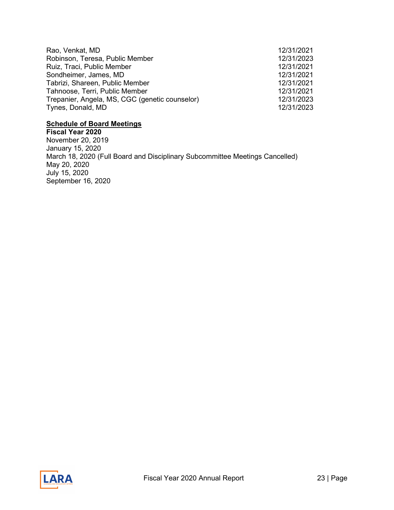| Rao, Venkat, MD                                | 12/31/2021 |
|------------------------------------------------|------------|
| Robinson, Teresa, Public Member                | 12/31/2023 |
| Ruiz, Traci, Public Member                     | 12/31/2021 |
| Sondheimer, James, MD                          | 12/31/2021 |
| Tabrizi, Shareen, Public Member                | 12/31/2021 |
| Tahnoose, Terri, Public Member                 | 12/31/2021 |
| Trepanier, Angela, MS, CGC (genetic counselor) | 12/31/2023 |
| Tynes, Donald, MD                              | 12/31/2023 |

#### **Schedule of Board Meetings**

**Fiscal Year 2020** November 20, 2019 January 15, 2020 March 18, 2020 (Full Board and Disciplinary Subcommittee Meetings Cancelled) May 20, 2020 July 15, 2020 September 16, 2020

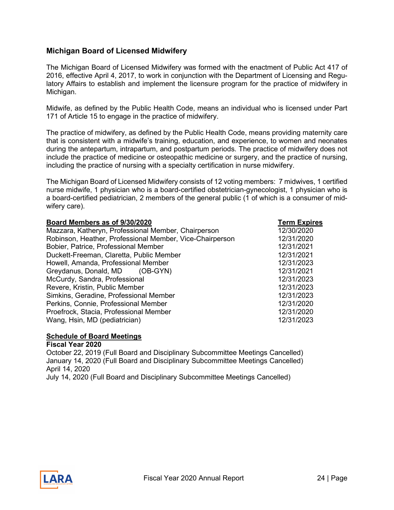# <span id="page-23-0"></span>**Michigan Board of Licensed Midwifery**

The Michigan Board of Licensed Midwifery was formed with the enactment of Public Act 417 of 2016, effective April 4, 2017, to work in conjunction with the Department of Licensing and Regulatory Affairs to establish and implement the licensure program for the practice of midwifery in Michigan.

Midwife, as defined by the Public Health Code, means an individual who is licensed under Part 171 of Article 15 to engage in the practice of midwifery.

The practice of midwifery, as defined by the Public Health Code, means providing maternity care that is consistent with a midwife's training, education, and experience, to women and neonates during the antepartum, intrapartum, and postpartum periods. The practice of midwifery does not include the practice of medicine or osteopathic medicine or surgery, and the practice of nursing, including the practice of nursing with a specialty certification in nurse midwifery.

The Michigan Board of Licensed Midwifery consists of 12 voting members: 7 midwives, 1 certified nurse midwife, 1 physician who is a board-certified obstetrician-gynecologist, 1 physician who is a board-certified pediatrician, 2 members of the general public (1 of which is a consumer of midwifery care).

| Board Members as of 9/30/2020                            | <b>Term Expires</b> |
|----------------------------------------------------------|---------------------|
| Mazzara, Katheryn, Professional Member, Chairperson      | 12/30/2020          |
| Robinson, Heather, Professional Member, Vice-Chairperson | 12/31/2020          |
| Bobier, Patrice, Professional Member                     | 12/31/2021          |
| Duckett-Freeman, Claretta, Public Member                 | 12/31/2021          |
| Howell, Amanda, Professional Member                      | 12/31/2023          |
| Greydanus, Donald, MD (OB-GYN)                           | 12/31/2021          |
| McCurdy, Sandra, Professional                            | 12/31/2023          |
| Revere, Kristin, Public Member                           | 12/31/2023          |
| Simkins, Geradine, Professional Member                   | 12/31/2023          |
| Perkins, Connie, Professional Member                     | 12/31/2020          |
| Proefrock, Stacia, Professional Member                   | 12/31/2020          |
| Wang, Hsin, MD (pediatrician)                            | 12/31/2023          |

#### **Schedule of Board Meetings Fiscal Year 2020**

October 22, 2019 (Full Board and Disciplinary Subcommittee Meetings Cancelled) January 14, 2020 (Full Board and Disciplinary Subcommittee Meetings Cancelled) April 14, 2020

July 14, 2020 (Full Board and Disciplinary Subcommittee Meetings Cancelled)

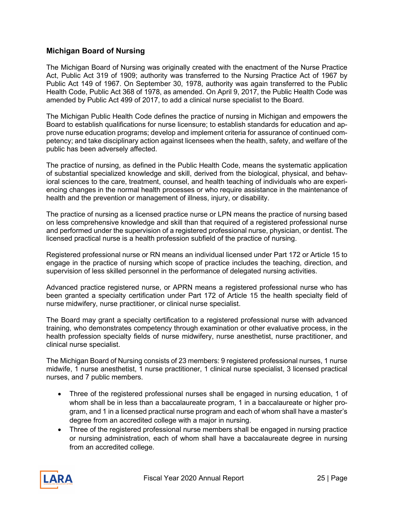# <span id="page-24-0"></span>**Michigan Board of Nursing**

The Michigan Board of Nursing was originally created with the enactment of the Nurse Practice Act, Public Act 319 of 1909; authority was transferred to the Nursing Practice Act of 1967 by Public Act 149 of 1967. On September 30, 1978, authority was again transferred to the Public Health Code, Public Act 368 of 1978, as amended. On April 9, 2017, the Public Health Code was amended by Public Act 499 of 2017, to add a clinical nurse specialist to the Board.

The Michigan Public Health Code defines the practice of nursing in Michigan and empowers the Board to establish qualifications for nurse licensure; to establish standards for education and approve nurse education programs; develop and implement criteria for assurance of continued competency; and take disciplinary action against licensees when the health, safety, and welfare of the public has been adversely affected.

The practice of nursing, as defined in the Public Health Code, means the systematic application of substantial specialized knowledge and skill, derived from the biological, physical, and behavioral sciences to the care, treatment, counsel, and health teaching of individuals who are experiencing changes in the normal health processes or who require assistance in the maintenance of health and the prevention or management of illness, injury, or disability.

The practice of nursing as a licensed practice nurse or LPN means the practice of nursing based on less comprehensive knowledge and skill than that required of a registered professional nurse and performed under the supervision of a registered professional nurse, physician, or dentist. The licensed practical nurse is a health profession subfield of the practice of nursing.

Registered professional nurse or RN means an individual licensed under Part 172 or Article 15 to engage in the practice of nursing which scope of practice includes the teaching, direction, and supervision of less skilled personnel in the performance of delegated nursing activities.

Advanced practice registered nurse, or APRN means a registered professional nurse who has been granted a specialty certification under Part 172 of Article 15 the health specialty field of nurse midwifery, nurse practitioner, or clinical nurse specialist.

The Board may grant a specialty certification to a registered professional nurse with advanced training, who demonstrates competency through examination or other evaluative process, in the health profession specialty fields of nurse midwifery, nurse anesthetist, nurse practitioner, and clinical nurse specialist.

The Michigan Board of Nursing consists of 23 members: 9 registered professional nurses, 1 nurse midwife, 1 nurse anesthetist, 1 nurse practitioner, 1 clinical nurse specialist, 3 licensed practical nurses, and 7 public members.

- Three of the registered professional nurses shall be engaged in nursing education, 1 of whom shall be in less than a baccalaureate program, 1 in a baccalaureate or higher program, and 1 in a licensed practical nurse program and each of whom shall have a master's degree from an accredited college with a major in nursing.
- Three of the registered professional nurse members shall be engaged in nursing practice or nursing administration, each of whom shall have a baccalaureate degree in nursing from an accredited college.

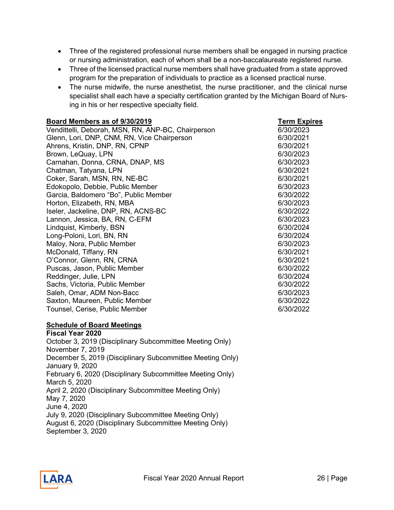- Three of the registered professional nurse members shall be engaged in nursing practice or nursing administration, each of whom shall be a non-baccalaureate registered nurse.
- Three of the licensed practical nurse members shall have graduated from a state approved program for the preparation of individuals to practice as a licensed practical nurse.
- The nurse midwife, the nurse anesthetist, the nurse practitioner, and the clinical nurse specialist shall each have a specialty certification granted by the Michigan Board of Nursing in his or her respective specialty field.

| Board Members as of 9/30/2019                           | <b>Term Expires</b> |
|---------------------------------------------------------|---------------------|
| Vendittelli, Deborah, MSN, RN, ANP-BC, Chairperson      | 6/30/2023           |
| Glenn, Lori, DNP, CNM, RN, Vice Chairperson             | 6/30/2021           |
| Ahrens, Kristin, DNP, RN, CPNP                          | 6/30/2021           |
| Brown, LeQuay, LPN                                      | 6/30/2023           |
| Carnahan, Donna, CRNA, DNAP, MS                         | 6/30/2023           |
| Chatman, Tatyana, LPN                                   | 6/30/2021           |
| Coker, Sarah, MSN, RN, NE-BC                            | 6/30/2021           |
| Edokopolo, Debbie, Public Member                        | 6/30/2023           |
| Garcia, Baldomero "Bo", Public Member                   | 6/30/2022           |
| Horton, Elizabeth, RN, MBA                              | 6/30/2023           |
| Iseler, Jackeline, DNP, RN, ACNS-BC                     | 6/30/2022           |
| Lannon, Jessica, BA, RN, C-EFM                          | 6/30/2023           |
| Lindquist, Kimberly, BSN                                | 6/30/2024           |
| Long-Poloni, Lori, BN, RN                               | 6/30/2024           |
| Maloy, Nora, Public Member                              | 6/30/2023           |
| McDonald, Tiffany, RN                                   | 6/30/2021           |
| O'Connor, Glenn, RN, CRNA                               | 6/30/2021           |
| Puscas, Jason, Public Member                            | 6/30/2022           |
| Reddinger, Julie, LPN                                   | 6/30/2024           |
| Sachs, Victoria, Public Member                          | 6/30/2022           |
| Saleh, Omar, ADM Non-Bacc                               | 6/30/2023           |
| Saxton, Maureen, Public Member                          | 6/30/2022           |
| Tounsel, Cerise, Public Member                          | 6/30/2022           |
| <b>Schedule of Board Meetings</b><br>$\mathbf{1}$<br>AA |                     |

**Fiscal Year 2020**  October 3, 2019 (Disciplinary Subcommittee Meeting Only) November 7, 2019 December 5, 2019 (Disciplinary Subcommittee Meeting Only) January 9, 2020 February 6, 2020 (Disciplinary Subcommittee Meeting Only) March 5, 2020 April 2, 2020 (Disciplinary Subcommittee Meeting Only) May 7, 2020 June 4, 2020 July 9, 2020 (Disciplinary Subcommittee Meeting Only) August 6, 2020 (Disciplinary Subcommittee Meeting Only) September 3, 2020

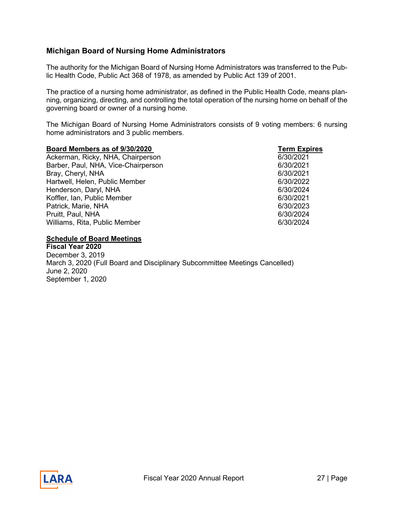# <span id="page-26-0"></span>**Michigan Board of Nursing Home Administrators**

The authority for the Michigan Board of Nursing Home Administrators was transferred to the Public Health Code, Public Act 368 of 1978, as amended by Public Act 139 of 2001.

The practice of a nursing home administrator, as defined in the Public Health Code, means planning, organizing, directing, and controlling the total operation of the nursing home on behalf of the governing board or owner of a nursing home.

The Michigan Board of Nursing Home Administrators consists of 9 voting members: 6 nursing home administrators and 3 public members.

| Board Members as of 9/30/2020       | <b>Term Expires</b> |
|-------------------------------------|---------------------|
| Ackerman, Ricky, NHA, Chairperson   | 6/30/2021           |
| Barber, Paul, NHA, Vice-Chairperson | 6/30/2021           |
| Bray, Cheryl, NHA                   | 6/30/2021           |
| Hartwell, Helen, Public Member      | 6/30/2022           |
| Henderson, Daryl, NHA               | 6/30/2024           |
| Koffler, Ian, Public Member         | 6/30/2021           |
| Patrick, Marie, NHA                 | 6/30/2023           |
| Pruitt, Paul, NHA                   | 6/30/2024           |
| Williams, Rita, Public Member       | 6/30/2024           |
|                                     |                     |

**Schedule of Board Meetings** 

**Fiscal Year 2020** December 3, 2019 March 3, 2020 (Full Board and Disciplinary Subcommittee Meetings Cancelled) June 2, 2020 September 1, 2020

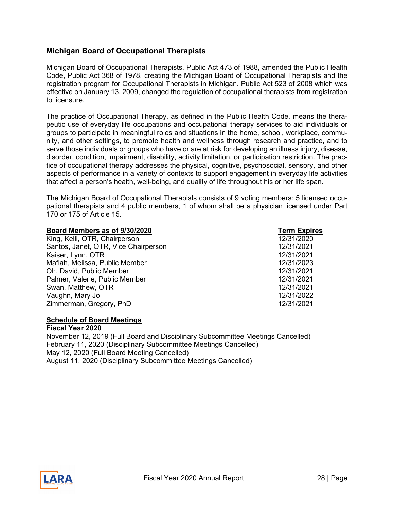# <span id="page-27-0"></span>**Michigan Board of Occupational Therapists**

Michigan Board of Occupational Therapists, Public Act 473 of 1988, amended the Public Health Code, Public Act 368 of 1978, creating the Michigan Board of Occupational Therapists and the registration program for Occupational Therapists in Michigan. Public Act 523 of 2008 which was effective on January 13, 2009, changed the regulation of occupational therapists from registration to licensure.

The practice of Occupational Therapy, as defined in the Public Health Code, means the therapeutic use of everyday life occupations and occupational therapy services to aid individuals or groups to participate in meaningful roles and situations in the home, school, workplace, community, and other settings, to promote health and wellness through research and practice, and to serve those individuals or groups who have or are at risk for developing an illness injury, disease, disorder, condition, impairment, disability, activity limitation, or participation restriction. The practice of occupational therapy addresses the physical, cognitive, psychosocial, sensory, and other aspects of performance in a variety of contexts to support engagement in everyday life activities that affect a person's health, well-being, and quality of life throughout his or her life span.

The Michigan Board of Occupational Therapists consists of 9 voting members: 5 licensed occupational therapists and 4 public members, 1 of whom shall be a physician licensed under Part 170 or 175 of Article 15.

| Board Members as of 9/30/2020        | <b>Term Expires</b> |
|--------------------------------------|---------------------|
| King, Kelli, OTR, Chairperson        | 12/31/2020          |
| Santos, Janet, OTR, Vice Chairperson | 12/31/2021          |
| Kaiser, Lynn, OTR                    | 12/31/2021          |
| Mafiah, Melissa, Public Member       | 12/31/2023          |
| Oh, David, Public Member             | 12/31/2021          |
| Palmer, Valerie, Public Member       | 12/31/2021          |
| Swan, Matthew, OTR                   | 12/31/2021          |
| Vaughn, Mary Jo                      | 12/31/2022          |
| Zimmerman, Gregory, PhD              | 12/31/2021          |

#### **Schedule of Board Meetings**

**Fiscal Year 2020**  November 12, 2019 (Full Board and Disciplinary Subcommittee Meetings Cancelled) February 11, 2020 (Disciplinary Subcommittee Meetings Cancelled) May 12, 2020 (Full Board Meeting Cancelled) August 11, 2020 (Disciplinary Subcommittee Meetings Cancelled)

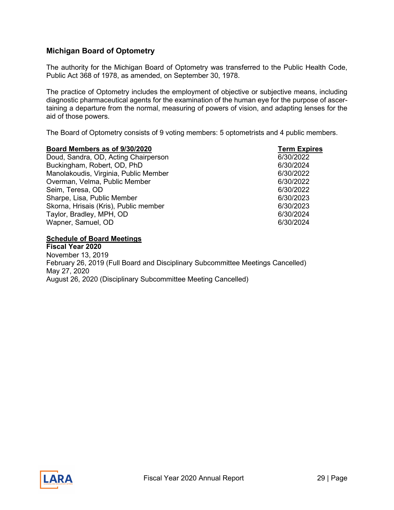# <span id="page-28-0"></span>**Michigan Board of Optometry**

The authority for the Michigan Board of Optometry was transferred to the Public Health Code, Public Act 368 of 1978, as amended, on September 30, 1978.

The practice of Optometry includes the employment of objective or subjective means, including diagnostic pharmaceutical agents for the examination of the human eye for the purpose of ascertaining a departure from the normal, measuring of powers of vision, and adapting lenses for the aid of those powers.

The Board of Optometry consists of 9 voting members: 5 optometrists and 4 public members.

| Board Members as of 9/30/2020         | <b>Term Expires</b> |
|---------------------------------------|---------------------|
| Doud, Sandra, OD, Acting Chairperson  | 6/30/2022           |
| Buckingham, Robert, OD, PhD           | 6/30/2024           |
| Manolakoudis, Virginia, Public Member | 6/30/2022           |
| Overman, Velma, Public Member         | 6/30/2022           |
| Seim, Teresa, OD                      | 6/30/2022           |
| Sharpe, Lisa, Public Member           | 6/30/2023           |
| Skorna, Hrisais (Kris), Public member | 6/30/2023           |
| Taylor, Bradley, MPH, OD              | 6/30/2024           |
| Wapner, Samuel, OD                    | 6/30/2024           |

**Schedule of Board Meetings**

**Fiscal Year 2020**  November 13, 2019 February 26, 2019 (Full Board and Disciplinary Subcommittee Meetings Cancelled) May 27, 2020 August 26, 2020 (Disciplinary Subcommittee Meeting Cancelled)

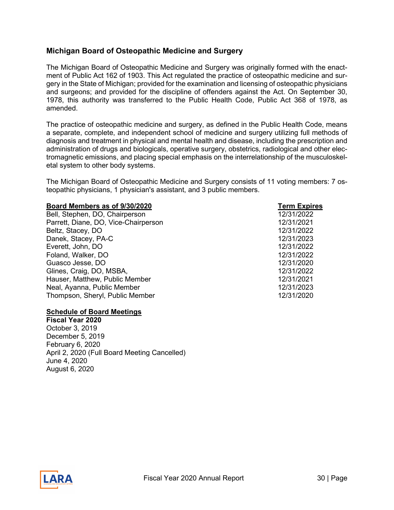# <span id="page-29-0"></span>**Michigan Board of Osteopathic Medicine and Surgery**

The Michigan Board of Osteopathic Medicine and Surgery was originally formed with the enactment of Public Act 162 of 1903. This Act regulated the practice of osteopathic medicine and surgery in the State of Michigan; provided for the examination and licensing of osteopathic physicians and surgeons; and provided for the discipline of offenders against the Act. On September 30, 1978, this authority was transferred to the Public Health Code, Public Act 368 of 1978, as amended.

The practice of osteopathic medicine and surgery, as defined in the Public Health Code, means a separate, complete, and independent school of medicine and surgery utilizing full methods of diagnosis and treatment in physical and mental health and disease, including the prescription and administration of drugs and biologicals, operative surgery, obstetrics, radiological and other electromagnetic emissions, and placing special emphasis on the interrelationship of the musculoskeletal system to other body systems.

The Michigan Board of Osteopathic Medicine and Surgery consists of 11 voting members: 7 osteopathic physicians, 1 physician's assistant, and 3 public members.

#### **Board Members as of 9/30/2020 Term Expires**

Bell, Stephen, DO, Chairperson Parrett, Diane, DO, Vice-Chairperson Beltz, Stacey, DO Danek, Stacey, PA-C Everett, John, DO Foland, Walker, DO Guasco Jesse, DO Glines, Craig, DO, MSBA, Hauser, Matthew, Public Member Neal, Ayanna, Public Member Thompson, Sheryl, Public Member 12/31/2020

#### **Schedule of Board Meetings**

**Fiscal Year 2020** October 3, 2019 December 5, 2019 February 6, 2020 April 2, 2020 (Full Board Meeting Cancelled) June 4, 2020 August 6, 2020

| <b>Term Expires</b> |  |
|---------------------|--|
| 12/31/2022          |  |
| 12/31/2021          |  |
| 12/31/2022          |  |
| 12/31/2023          |  |
| 12/31/2022          |  |
| 12/31/2022          |  |
| 12/31/2020          |  |
| 12/31/2022          |  |
| 12/31/2021          |  |
| 12/31/2023          |  |
| 12/31/2020          |  |

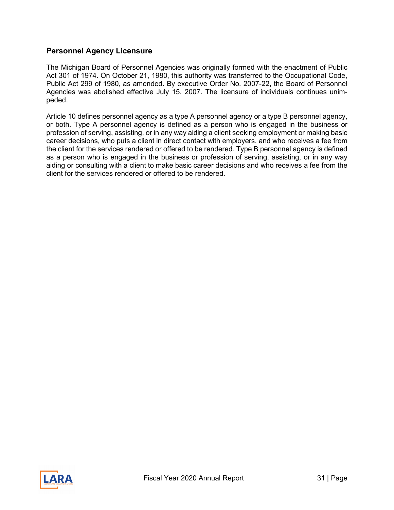# <span id="page-30-0"></span>**Personnel Agency Licensure**

The Michigan Board of Personnel Agencies was originally formed with the enactment of Public Act 301 of 1974. On October 21, 1980, this authority was transferred to the Occupational Code, Public Act 299 of 1980, as amended. By executive Order No. 2007-22, the Board of Personnel Agencies was abolished effective July 15, 2007. The licensure of individuals continues unimpeded.

Article 10 defines personnel agency as a type A personnel agency or a type B personnel agency, or both. Type A personnel agency is defined as a person who is engaged in the business or profession of serving, assisting, or in any way aiding a client seeking employment or making basic career decisions, who puts a client in direct contact with employers, and who receives a fee from the client for the services rendered or offered to be rendered. Type B personnel agency is defined as a person who is engaged in the business or profession of serving, assisting, or in any way aiding or consulting with a client to make basic career decisions and who receives a fee from the client for the services rendered or offered to be rendered.

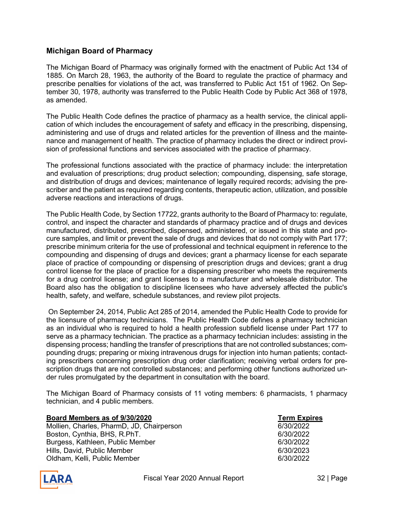# <span id="page-31-0"></span>**Michigan Board of Pharmacy**

The Michigan Board of Pharmacy was originally formed with the enactment of Public Act 134 of 1885. On March 28, 1963, the authority of the Board to regulate the practice of pharmacy and prescribe penalties for violations of the act, was transferred to Public Act 151 of 1962. On September 30, 1978, authority was transferred to the Public Health Code by Public Act 368 of 1978, as amended.

The Public Health Code defines the practice of pharmacy as a health service, the clinical application of which includes the encouragement of safety and efficacy in the prescribing, dispensing, administering and use of drugs and related articles for the prevention of illness and the maintenance and management of health. The practice of pharmacy includes the direct or indirect provision of professional functions and services associated with the practice of pharmacy.

The professional functions associated with the practice of pharmacy include: the interpretation and evaluation of prescriptions; drug product selection; compounding, dispensing, safe storage, and distribution of drugs and devices; maintenance of legally required records; advising the prescriber and the patient as required regarding contents, therapeutic action, utilization, and possible adverse reactions and interactions of drugs.

The Public Health Code, by Section 17722, grants authority to the Board of Pharmacy to: regulate, control, and inspect the character and standards of pharmacy practice and of drugs and devices manufactured, distributed, prescribed, dispensed, administered, or issued in this state and procure samples, and limit or prevent the sale of drugs and devices that do not comply with Part 177; prescribe minimum criteria for the use of professional and technical equipment in reference to the compounding and dispensing of drugs and devices; grant a pharmacy license for each separate place of practice of compounding or dispensing of prescription drugs and devices; grant a drug control license for the place of practice for a dispensing prescriber who meets the requirements for a drug control license; and grant licenses to a manufacturer and wholesale distributor. The Board also has the obligation to discipline licensees who have adversely affected the public's health, safety, and welfare, schedule substances, and review pilot projects.

On September 24, 2014, Public Act 285 of 2014, amended the Public Health Code to provide for the licensure of pharmacy technicians. The Public Health Code defines a pharmacy technician as an individual who is required to hold a health profession subfield license under Part 177 to serve as a pharmacy technician. The practice as a pharmacy technician includes: assisting in the dispensing process; handling the transfer of prescriptions that are not controlled substances; compounding drugs; preparing or mixing intravenous drugs for injection into human patients; contacting prescribers concerning prescription drug order clarification; receiving verbal orders for prescription drugs that are not controlled substances; and performing other functions authorized under rules promulgated by the department in consultation with the board.

The Michigan Board of Pharmacy consists of 11 voting members: 6 pharmacists, 1 pharmacy technician, and 4 public members.

| Board Members as of 9/30/2020             | <b>Term Exp</b> |
|-------------------------------------------|-----------------|
| Mollien, Charles, PharmD, JD, Chairperson | 6/30/2022       |
| Boston, Cynthia, BHS, R.PhT.              | 6/30/2022       |
| Burgess, Kathleen, Public Member          | 6/30/2022       |
| Hills, David, Public Member               | 6/30/2023       |
| Oldham, Kelli, Public Member              | 6/30/2022       |

**<u>Term Expires</u><br>6/30/2022** 

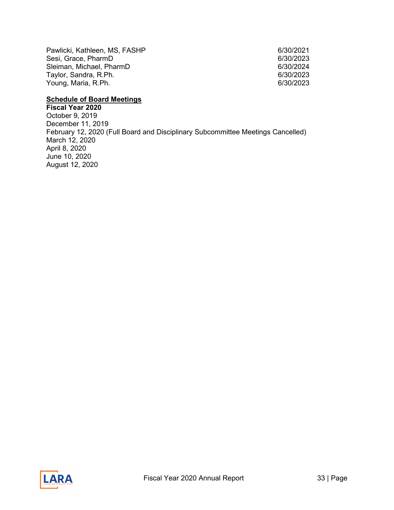Pawlicki, Kathleen, MS, FASHP 6/30/2021 Sesi, Grace, PharmD<br>Sleiman, Michael, PharmD 6/30/2023 Sleiman, Michael, PharmD 6/30/2024 Taylor, Sandra, R.Ph. Young, Maria, R.Ph. 6/30/2023

# **Schedule of Board Meetings**

**Fiscal Year 2020** October 9, 2019 December 11, 2019 February 12, 2020 (Full Board and Disciplinary Subcommittee Meetings Cancelled) March 12, 2020 April 8, 2020 June 10, 2020 August 12, 2020

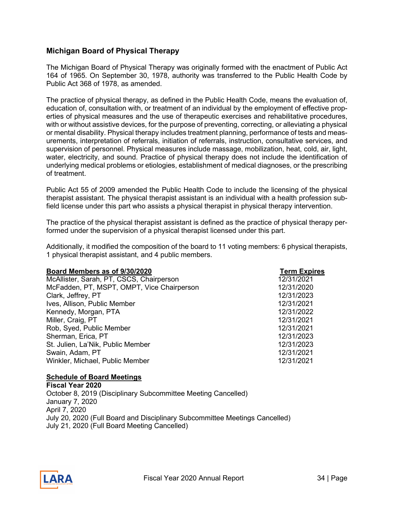# <span id="page-33-0"></span>**Michigan Board of Physical Therapy**

The Michigan Board of Physical Therapy was originally formed with the enactment of Public Act 164 of 1965. On September 30, 1978, authority was transferred to the Public Health Code by Public Act 368 of 1978, as amended.

The practice of physical therapy, as defined in the Public Health Code, means the evaluation of, education of, consultation with, or treatment of an individual by the employment of effective properties of physical measures and the use of therapeutic exercises and rehabilitative procedures, with or without assistive devices, for the purpose of preventing, correcting, or alleviating a physical or mental disability. Physical therapy includes treatment planning, performance of tests and measurements, interpretation of referrals, initiation of referrals, instruction, consultative services, and supervision of personnel. Physical measures include massage, mobilization, heat, cold, air, light, water, electricity, and sound. Practice of physical therapy does not include the identification of underlying medical problems or etiologies, establishment of medical diagnoses, or the prescribing of treatment.

Public Act 55 of 2009 amended the Public Health Code to include the licensing of the physical therapist assistant. The physical therapist assistant is an individual with a health profession subfield license under this part who assists a physical therapist in physical therapy intervention.

The practice of the physical therapist assistant is defined as the practice of physical therapy performed under the supervision of a physical therapist licensed under this part.

Additionally, it modified the composition of the board to 11 voting members: 6 physical therapists, 1 physical therapist assistant, and 4 public members.

| Board Members as of 9/30/2020              | <b>Term Expires</b> |
|--------------------------------------------|---------------------|
| McAllister, Sarah, PT, CSCS, Chairperson   | 12/31/2021          |
| McFadden, PT, MSPT, OMPT, Vice Chairperson | 12/31/2020          |
| Clark, Jeffrey, PT                         | 12/31/2023          |
| Ives, Allison, Public Member               | 12/31/2021          |
| Kennedy, Morgan, PTA                       | 12/31/2022          |
| Miller, Craig, PT                          | 12/31/2021          |
| Rob, Syed, Public Member                   | 12/31/2021          |
| Sherman, Erica, PT                         | 12/31/2023          |
| St. Julien, La'Nik, Public Member          | 12/31/2023          |
| Swain, Adam, PT                            | 12/31/2021          |
| Winkler, Michael, Public Member            | 12/31/2021          |

### **Schedule of Board Meetings**

**Fiscal Year 2020**  October 8, 2019 (Disciplinary Subcommittee Meeting Cancelled) January 7, 2020 April 7, 2020 July 20, 2020 (Full Board and Disciplinary Subcommittee Meetings Cancelled) July 21, 2020 (Full Board Meeting Cancelled)

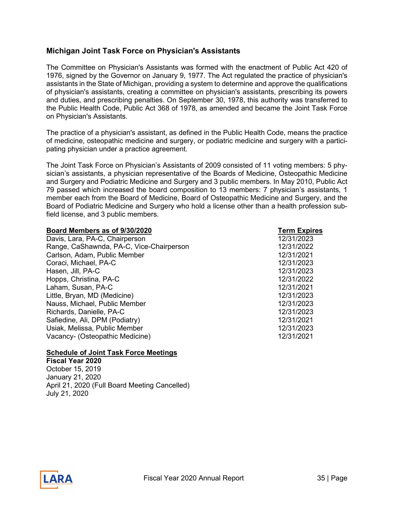# <span id="page-34-0"></span>**Michigan Joint Task Force on Physician's Assistants**

The Committee on Physician's Assistants was formed with the enactment of Public Act 420 of 1976, signed by the Governor on January 9, 1977. The Act regulated the practice of physician's assistants in the State of Michigan, providing a system to determine and approve the qualifications of physician's assistants, creating a committee on physician's assistants, prescribing its powers and duties, and prescribing penalties. On September 30, 1978, this authority was transferred to the Public Health Code, Public Act 368 of 1978, as amended and became the Joint Task Force on Physician's Assistants.

The practice of a physician's assistant, as defined in the Public Health Code, means the practice of medicine, osteopathic medicine and surgery, or podiatric medicine and surgery with a participating physician under a practice agreement.

The Joint Task Force on Physician's Assistants of 2009 consisted of 11 voting members: 5 physician's assistants, a physician representative of the Boards of Medicine, Osteopathic Medicine and Surgery and Podiatric Medicine and Surgery and 3 public members. In May 2010, Public Act 79 passed which increased the board composition to 13 members: 7 physician's assistants, 1 member each from the Board of Medicine, Board of Osteopathic Medicine and Surgery, and the Board of Podiatric Medicine and Surgery who hold a license other than a health profession subfield license, and 3 public members.

| Board Members as of 9/30/2020            | <b>Term Expires</b> |
|------------------------------------------|---------------------|
| Davis, Lara, PA-C, Chairperson           | 12/31/2023          |
| Range, CaShawnda, PA-C, Vice-Chairperson | 12/31/2022          |
| Carlson, Adam, Public Member             | 12/31/2021          |
| Coraci, Michael, PA-C                    | 12/31/2023          |
| Hasen, Jill, PA-C                        | 12/31/2023          |
| Hopps, Christina, PA-C                   | 12/31/2022          |
| Laham, Susan, PA-C                       | 12/31/2021          |
| Little, Bryan, MD (Medicine)             | 12/31/2023          |
| Nauss, Michael, Public Member            | 12/31/2023          |
| Richards, Danielle, PA-C                 | 12/31/2023          |
| Safiedine, Ali, DPM (Podiatry)           | 12/31/2021          |
| Usiak, Melissa, Public Member            | 12/31/2023          |
| Vacancy- (Osteopathic Medicine)          | 12/31/2021          |

### **Schedule of Joint Task Force Meetings**

**Fiscal Year 2020** October 15, 2019 January 21, 2020 April 21, 2020 (Full Board Meeting Cancelled) July 21, 2020

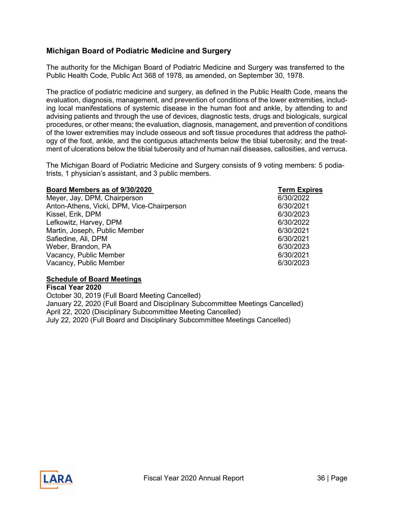# <span id="page-35-0"></span>**Michigan Board of Podiatric Medicine and Surgery**

The authority for the Michigan Board of Podiatric Medicine and Surgery was transferred to the Public Health Code, Public Act 368 of 1978, as amended, on September 30, 1978.

The practice of podiatric medicine and surgery, as defined in the Public Health Code, means the evaluation, diagnosis, management, and prevention of conditions of the lower extremities, including local manifestations of systemic disease in the human foot and ankle, by attending to and advising patients and through the use of devices, diagnostic tests, drugs and biologicals, surgical procedures, or other means; the evaluation, diagnosis, management, and prevention of conditions of the lower extremities may include osseous and soft tissue procedures that address the pathology of the foot, ankle, and the contiguous attachments below the tibial tuberosity; and the treatment of ulcerations below the tibial tuberosity and of human nail diseases, callosities, and verruca.

The Michigan Board of Podiatric Medicine and Surgery consists of 9 voting members: 5 podiatrists, 1 physician's assistant, and 3 public members.

#### **Board Members as of 9/30/2020 Term Expires**

Meyer, Jay, DPM, Chairperson **6/30/2022** Anton-Athens, Vicki, DPM, Vice-Chairperson 6/30/2021 Kissel, Erik, DPM 6/30/2023 Lefkowitz, Harvey, DPM 6/30/2022 Martin, Joseph, Public Member 6/30/2021 Safiedine, Ali, DPM 6/30/2021 Weber, Brandon, PA 6/30/2023 Vacancy, Public Member 6/30/2021 Vacancy, Public Member 6/30/2023

### **Schedule of Board Meetings**

**Fiscal Year 2020** October 30, 2019 (Full Board Meeting Cancelled) January 22, 2020 (Full Board and Disciplinary Subcommittee Meetings Cancelled) April 22, 2020 (Disciplinary Subcommittee Meeting Cancelled) July 22, 2020 (Full Board and Disciplinary Subcommittee Meetings Cancelled)

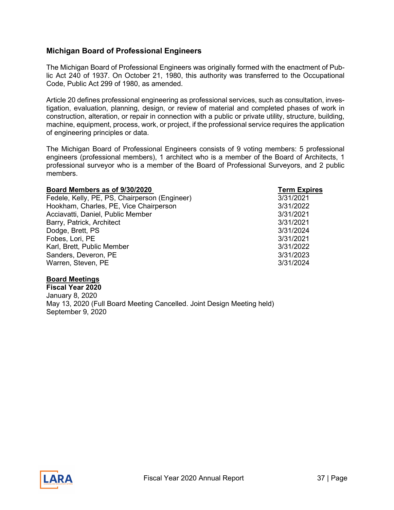# <span id="page-36-0"></span>**Michigan Board of Professional Engineers**

The Michigan Board of Professional Engineers was originally formed with the enactment of Public Act 240 of 1937. On October 21, 1980, this authority was transferred to the Occupational Code, Public Act 299 of 1980, as amended.

Article 20 defines professional engineering as professional services, such as consultation, investigation, evaluation, planning, design, or review of material and completed phases of work in construction, alteration, or repair in connection with a public or private utility, structure, building, machine, equipment, process, work, or project, if the professional service requires the application of engineering principles or data.

The Michigan Board of Professional Engineers consists of 9 voting members: 5 professional engineers (professional members), 1 architect who is a member of the Board of Architects, 1 professional surveyor who is a member of the Board of Professional Surveyors, and 2 public members.

| Board Members as of 9/30/2020                 | <b>Term Expires</b> |
|-----------------------------------------------|---------------------|
| Fedele, Kelly, PE, PS, Chairperson (Engineer) | 3/31/2021           |
| Hookham, Charles, PE, Vice Chairperson        | 3/31/2022           |
| Acciavatti, Daniel, Public Member             | 3/31/2021           |
| Barry, Patrick, Architect                     | 3/31/2021           |
| Dodge, Brett, PS                              | 3/31/2024           |
| Fobes, Lori, PE                               | 3/31/2021           |
| Karl, Brett, Public Member                    | 3/31/2022           |
| Sanders, Deveron, PE                          | 3/31/2023           |

Warren, Steven, PE 3/31/2024

### **Board Meetings**

**Fiscal Year 2020** January 8, 2020 May 13, 2020 (Full Board Meeting Cancelled. Joint Design Meeting held) September 9, 2020

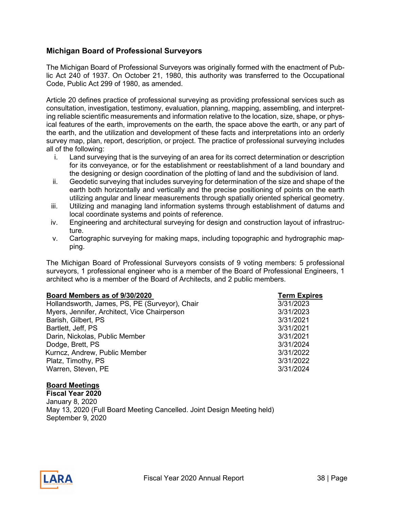# <span id="page-37-0"></span>**Michigan Board of Professional Surveyors**

The Michigan Board of Professional Surveyors was originally formed with the enactment of Public Act 240 of 1937. On October 21, 1980, this authority was transferred to the Occupational Code, Public Act 299 of 1980, as amended.

Article 20 defines practice of professional surveying as providing professional services such as consultation, investigation, testimony, evaluation, planning, mapping, assembling, and interpreting reliable scientific measurements and information relative to the location, size, shape, or physical features of the earth, improvements on the earth, the space above the earth, or any part of the earth, and the utilization and development of these facts and interpretations into an orderly survey map, plan, report, description, or project. The practice of professional surveying includes all of the following:

- i. Land surveying that is the surveying of an area for its correct determination or description for its conveyance, or for the establishment or reestablishment of a land boundary and the designing or design coordination of the plotting of land and the subdivision of land.
- ii. Geodetic surveying that includes surveying for determination of the size and shape of the earth both horizontally and vertically and the precise positioning of points on the earth utilizing angular and linear measurements through spatially oriented spherical geometry.
- iii. Utilizing and managing land information systems through establishment of datums and local coordinate systems and points of reference.
- iv. Engineering and architectural surveying for design and construction layout of infrastructure.
- v. Cartographic surveying for making maps, including topographic and hydrographic mapping.

The Michigan Board of Professional Surveyors consists of 9 voting members: 5 professional surveyors, 1 professional engineer who is a member of the Board of Professional Engineers, 1 architect who is a member of the Board of Architects, and 2 public members.

**Board Members as of 9/30/2020**<br>
Hollandsworth, James, PS, PE (Survevor), Chair<br>
Term Expires Hollandsworth, James, PS, PE (Surveyor), Chair Myers, Jennifer, Architect, Vice Chairperson 3/31/2023 Barish, Gilbert, PS 3/31/2021 Bartlett, Jeff, PS 3/31/2021 Darin, Nickolas, Public Member 3/31/2021 Dodge, Brett, PS 3/31/2024 Kurncz, Andrew, Public Member 3/31/2022 Platz, Timothy, PS 3/31/2022 Warren, Steven, PE 3/31/2024

### **Board Meetings**

**Fiscal Year 2020** January 8, 2020 May 13, 2020 (Full Board Meeting Cancelled. Joint Design Meeting held) September 9, 2020

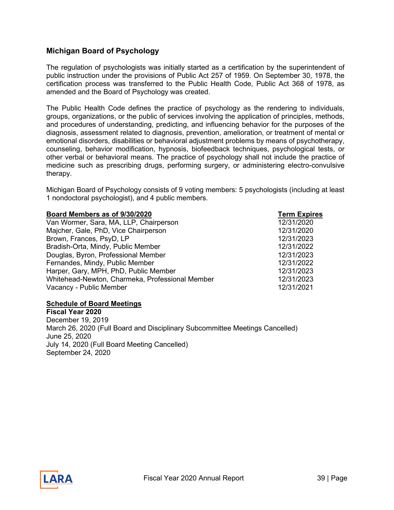# <span id="page-38-0"></span>**Michigan Board of Psychology**

The regulation of psychologists was initially started as a certification by the superintendent of public instruction under the provisions of Public Act 257 of 1959. On September 30, 1978, the certification process was transferred to the Public Health Code, Public Act 368 of 1978, as amended and the Board of Psychology was created.

The Public Health Code defines the practice of psychology as the rendering to individuals, groups, organizations, or the public of services involving the application of principles, methods, and procedures of understanding, predicting, and influencing behavior for the purposes of the diagnosis, assessment related to diagnosis, prevention, amelioration, or treatment of mental or emotional disorders, disabilities or behavioral adjustment problems by means of psychotherapy, counseling, behavior modification, hypnosis, biofeedback techniques, psychological tests, or other verbal or behavioral means. The practice of psychology shall not include the practice of medicine such as prescribing drugs, performing surgery, or administering electro-convulsive therapy.

Michigan Board of Psychology consists of 9 voting members: 5 psychologists (including at least 1 nondoctoral psychologist), and 4 public members.

| Board Members as of 9/30/2020                   | <b>Term Expires</b> |
|-------------------------------------------------|---------------------|
| Van Wormer, Sara, MA, LLP, Chairperson          | 12/31/2020          |
| Majcher, Gale, PhD, Vice Chairperson            | 12/31/2020          |
| Brown, Frances, PsyD, LP                        | 12/31/2023          |
| Bradish-Orta, Mindy, Public Member              | 12/31/2022          |
| Douglas, Byron, Professional Member             | 12/31/2023          |
| Fernandes, Mindy, Public Member                 | 12/31/2022          |
| Harper, Gary, MPH, PhD, Public Member           | 12/31/2023          |
| Whitehead-Newton, Charmeka, Professional Member | 12/31/2023          |
| Vacancy - Public Member                         | 12/31/2021          |

#### **Schedule of Board Meetings**

**Fiscal Year 2020** December 19, 2019 March 26, 2020 (Full Board and Disciplinary Subcommittee Meetings Cancelled) June 25, 2020 July 14, 2020 (Full Board Meeting Cancelled) September 24, 2020

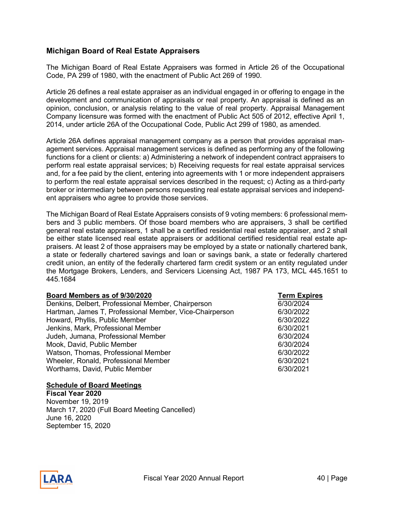# <span id="page-39-0"></span>**Michigan Board of Real Estate Appraisers**

The Michigan Board of Real Estate Appraisers was formed in Article 26 of the Occupational Code, PA 299 of 1980, with the enactment of Public Act 269 of 1990.

Article 26 defines a real estate appraiser as an individual engaged in or offering to engage in the development and communication of appraisals or real property. An appraisal is defined as an opinion, conclusion, or analysis relating to the value of real property. Appraisal Management Company licensure was formed with the enactment of Public Act 505 of 2012, effective April 1, 2014, under article 26A of the Occupational Code, Public Act 299 of 1980, as amended.

Article 26A defines appraisal management company as a person that provides appraisal management services. Appraisal management services is defined as performing any of the following functions for a client or clients: a) Administering a network of independent contract appraisers to perform real estate appraisal services; b) Receiving requests for real estate appraisal services and, for a fee paid by the client, entering into agreements with 1 or more independent appraisers to perform the real estate appraisal services described in the request; c) Acting as a third-party broker or intermediary between persons requesting real estate appraisal services and independent appraisers who agree to provide those services.

The Michigan Board of Real Estate Appraisers consists of 9 voting members: 6 professional members and 3 public members. Of those board members who are appraisers, 3 shall be certified general real estate appraisers, 1 shall be a certified residential real estate appraiser, and 2 shall be either state licensed real estate appraisers or additional certified residential real estate appraisers. At least 2 of those appraisers may be employed by a state or nationally chartered bank, a state or federally chartered savings and loan or savings bank, a state or federally chartered credit union, an entity of the federally chartered farm credit system or an entity regulated under the Mortgage Brokers, Lenders, and Servicers Licensing Act, 1987 PA 173, MCL 445.1651 to 445.1684

| Board Members as of 9/30/2020                           | <b>Term Expires</b> |
|---------------------------------------------------------|---------------------|
| Denkins, Delbert, Professional Member, Chairperson      | 6/30/2024           |
| Hartman, James T, Professional Member, Vice-Chairperson | 6/30/2022           |
| Howard, Phyllis, Public Member                          | 6/30/2022           |
| Jenkins, Mark, Professional Member                      | 6/30/2021           |
| Judeh, Jumana, Professional Member                      | 6/30/2024           |
| Mook, David, Public Member                              | 6/30/2024           |
| Watson, Thomas, Professional Member                     | 6/30/2022           |
| Wheeler, Ronald, Professional Member                    | 6/30/2021           |
| Worthams, David, Public Member                          | 6/30/2021           |
|                                                         |                     |

#### **Schedule of Board Meetings**

**Fiscal Year 2020**  November 19, 2019 March 17, 2020 (Full Board Meeting Cancelled) June 16, 2020 September 15, 2020

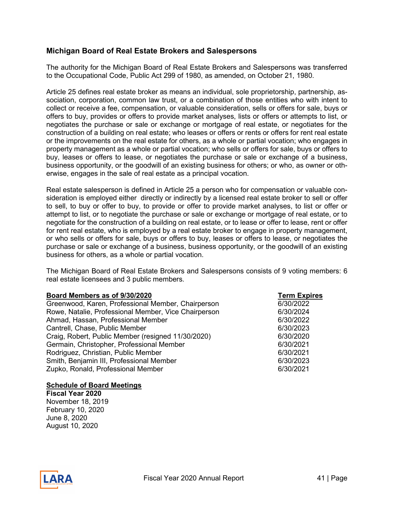# <span id="page-40-0"></span>**Michigan Board of Real Estate Brokers and Salespersons**

The authority for the Michigan Board of Real Estate Brokers and Salespersons was transferred to the Occupational Code, Public Act 299 of 1980, as amended, on October 21, 1980.

Article 25 defines real estate broker as means an individual, sole proprietorship, partnership, association, corporation, common law trust, or a combination of those entities who with intent to collect or receive a fee, compensation, or valuable consideration, sells or offers for sale, buys or offers to buy, provides or offers to provide market analyses, lists or offers or attempts to list, or negotiates the purchase or sale or exchange or mortgage of real estate, or negotiates for the construction of a building on real estate; who leases or offers or rents or offers for rent real estate or the improvements on the real estate for others, as a whole or partial vocation; who engages in property management as a whole or partial vocation; who sells or offers for sale, buys or offers to buy, leases or offers to lease, or negotiates the purchase or sale or exchange of a business, business opportunity, or the goodwill of an existing business for others; or who, as owner or otherwise, engages in the sale of real estate as a principal vocation.

Real estate salesperson is defined in Article 25 a person who for compensation or valuable consideration is employed either directly or indirectly by a licensed real estate broker to sell or offer to sell, to buy or offer to buy, to provide or offer to provide market analyses, to list or offer or attempt to list, or to negotiate the purchase or sale or exchange or mortgage of real estate, or to negotiate for the construction of a building on real estate, or to lease or offer to lease, rent or offer for rent real estate, who is employed by a real estate broker to engage in property management, or who sells or offers for sale, buys or offers to buy, leases or offers to lease, or negotiates the purchase or sale or exchange of a business, business opportunity, or the goodwill of an existing business for others, as a whole or partial vocation.

The Michigan Board of Real Estate Brokers and Salespersons consists of 9 voting members: 6 real estate licensees and 3 public members.

**Board Members as of 9/30/2020 Term Expires**  Greenwood, Karen, Professional Member, Chairperson Rowe, Natalie, Professional Member, Vice Chairperson 6/30/2024 Ahmad, Hassan, Professional Member 6/30/2022 Cantrell, Chase, Public Member 6/30/2023 Craig, Robert, Public Member (resigned 11/30/2020) 6/30/2020 Germain, Christopher, Professional Member 6/30/2021 Rodriguez, Christian, Public Member 6/30/2021 Smith, Benjamin III, Professional Member 6/30/2023 Zupko, Ronald, Professional Member 6/30/2021

#### **Schedule of Board Meetings**

**Fiscal Year 2020** November 18, 2019 February 10, 2020 June 8, 2020 August 10, 2020

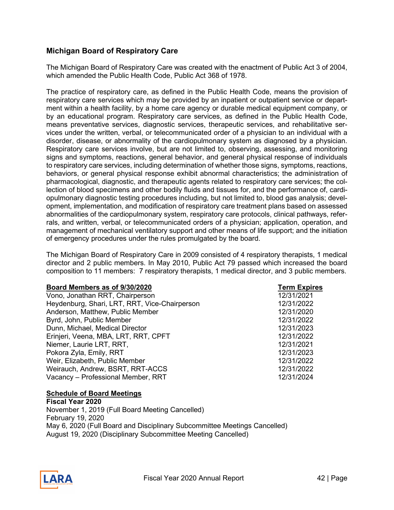# <span id="page-41-0"></span>**Michigan Board of Respiratory Care**

The Michigan Board of Respiratory Care was created with the enactment of Public Act 3 of 2004, which amended the Public Health Code, Public Act 368 of 1978.

The practice of respiratory care, as defined in the Public Health Code, means the provision of respiratory care services which may be provided by an inpatient or outpatient service or department within a health facility, by a home care agency or durable medical equipment company, or by an educational program. Respiratory care services, as defined in the Public Health Code, means preventative services, diagnostic services, therapeutic services, and rehabilitative services under the written, verbal, or telecommunicated order of a physician to an individual with a disorder, disease, or abnormality of the cardiopulmonary system as diagnosed by a physician. Respiratory care services involve, but are not limited to, observing, assessing, and monitoring signs and symptoms, reactions, general behavior, and general physical response of individuals to respiratory care services, including determination of whether those signs, symptoms, reactions, behaviors, or general physical response exhibit abnormal characteristics; the administration of pharmacological, diagnostic, and therapeutic agents related to respiratory care services; the collection of blood specimens and other bodily fluids and tissues for, and the performance of, cardiopulmonary diagnostic testing procedures including, but not limited to, blood gas analysis; development, implementation, and modification of respiratory care treatment plans based on assessed abnormalities of the cardiopulmonary system, respiratory care protocols, clinical pathways, referrals, and written, verbal, or telecommunicated orders of a physician; application, operation, and management of mechanical ventilatory support and other means of life support; and the initiation of emergency procedures under the rules promulgated by the board.

The Michigan Board of Respiratory Care in 2009 consisted of 4 respiratory therapists, 1 medical director and 2 public members. In May 2010, Public Act 79 passed which increased the board composition to 11 members: 7 respiratory therapists, 1 medical director, and 3 public members.

#### **Board Members as of 9/30/2020 Term Expires**

| Vono, Jonathan RRT, Chairperson               | 12/31/2021 |
|-----------------------------------------------|------------|
| Heydenburg, Shari, LRT, RRT, Vice-Chairperson | 12/31/2022 |
| Anderson, Matthew, Public Member              | 12/31/2020 |
| Byrd, John, Public Member                     | 12/31/2022 |
| Dunn, Michael, Medical Director               | 12/31/2023 |
| Erinjeri, Veena, MBA, LRT, RRT, CPFT          | 12/31/2022 |
| Niemer, Laurie LRT, RRT,                      | 12/31/2021 |
| Pokora Zyla, Emily, RRT                       | 12/31/2023 |
| Weir, Elizabeth, Public Member                | 12/31/2022 |
| Weirauch, Andrew, BSRT, RRT-ACCS              | 12/31/2022 |
| Vacancy - Professional Member, RRT            | 12/31/2024 |

12/31/2021 Heydenburg, Shari, LRT, RRT, Vice-Chairperson 12/31/2022 12/31/2020 Erinjeri, Veena, MBA, LRT, RRT, CPFT 12/31/2022 12/31/2021 12/31/2022 12/31/2024

#### **Schedule of Board Meetings**

**Fiscal Year 2020**  November 1, 2019 (Full Board Meeting Cancelled) February 19, 2020 May 6, 2020 (Full Board and Disciplinary Subcommittee Meetings Cancelled) August 19, 2020 (Disciplinary Subcommittee Meeting Cancelled)

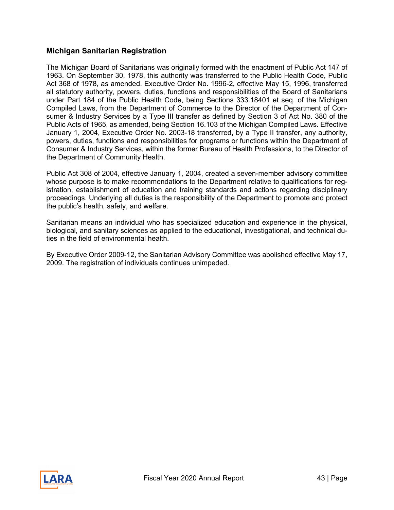# <span id="page-42-0"></span>**Michigan Sanitarian Registration**

The Michigan Board of Sanitarians was originally formed with the enactment of Public Act 147 of 1963. On September 30, 1978, this authority was transferred to the Public Health Code, Public Act 368 of 1978, as amended. Executive Order No. 1996-2, effective May 15, 1996, transferred all statutory authority, powers, duties, functions and responsibilities of the Board of Sanitarians under Part 184 of the Public Health Code, being Sections 333.18401 et seq. of the Michigan Compiled Laws, from the Department of Commerce to the Director of the Department of Consumer & Industry Services by a Type III transfer as defined by Section 3 of Act No. 380 of the Public Acts of 1965, as amended, being Section 16.103 of the Michigan Compiled Laws. Effective January 1, 2004, Executive Order No. 2003-18 transferred, by a Type II transfer, any authority, powers, duties, functions and responsibilities for programs or functions within the Department of Consumer & Industry Services, within the former Bureau of Health Professions, to the Director of the Department of Community Health.

Public Act 308 of 2004, effective January 1, 2004, created a seven-member advisory committee whose purpose is to make recommendations to the Department relative to qualifications for registration, establishment of education and training standards and actions regarding disciplinary proceedings. Underlying all duties is the responsibility of the Department to promote and protect the public's health, safety, and welfare.

Sanitarian means an individual who has specialized education and experience in the physical, biological, and sanitary sciences as applied to the educational, investigational, and technical duties in the field of environmental health.

By Executive Order 2009-12, the Sanitarian Advisory Committee was abolished effective May 17, 2009. The registration of individuals continues unimpeded.

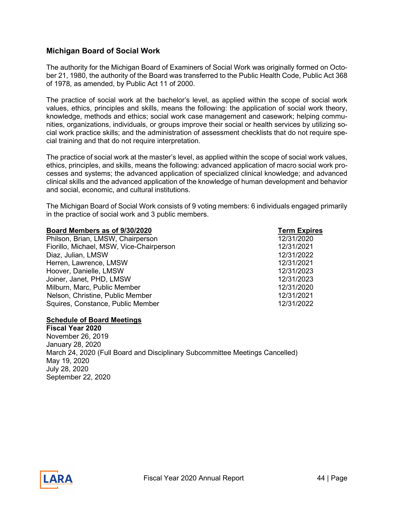# <span id="page-43-0"></span>**Michigan Board of Social Work**

The authority for the Michigan Board of Examiners of Social Work was originally formed on October 21, 1980, the authority of the Board was transferred to the Public Health Code, Public Act 368 of 1978, as amended, by Public Act 11 of 2000.

The practice of social work at the bachelor's level, as applied within the scope of social work values, ethics, principles and skills, means the following: the application of social work theory, knowledge, methods and ethics; social work case management and casework; helping communities, organizations, individuals, or groups improve their social or health services by utilizing social work practice skills; and the administration of assessment checklists that do not require special training and that do not require interpretation.

The practice of social work at the master's level, as applied within the scope of social work values, ethics, principles, and skills, means the following: advanced application of macro social work processes and systems; the advanced application of specialized clinical knowledge; and advanced clinical skills and the advanced application of the knowledge of human development and behavior and social, economic, and cultural institutions.

The Michigan Board of Social Work consists of 9 voting members: 6 individuals engaged primarily in the practice of social work and 3 public members.

| Board Members as of 9/30/2020            | <b>Term Expires</b> |
|------------------------------------------|---------------------|
| Philson, Brian, LMSW, Chairperson        | 12/31/2020          |
| Fiorillo, Michael, MSW, Vice-Chairperson | 12/31/2021          |
| Diaz, Julian, LMSW                       | 12/31/2022          |
| Herren, Lawrence, LMSW                   | 12/31/2021          |
| Hoover, Danielle, LMSW                   | 12/31/2023          |
| Joiner, Janet, PHD, LMSW                 | 12/31/2023          |
| Milburn, Marc, Public Member             | 12/31/2020          |
| Nelson, Christine, Public Member         | 12/31/2021          |
| Squires, Constance, Public Member        | 12/31/2022          |
|                                          |                     |

#### **Schedule of Board Meetings**

**Fiscal Year 2020**  November 26, 2019 January 28, 2020 March 24, 2020 (Full Board and Disciplinary Subcommittee Meetings Cancelled) May 19, 2020 July 28, 2020 September 22, 2020

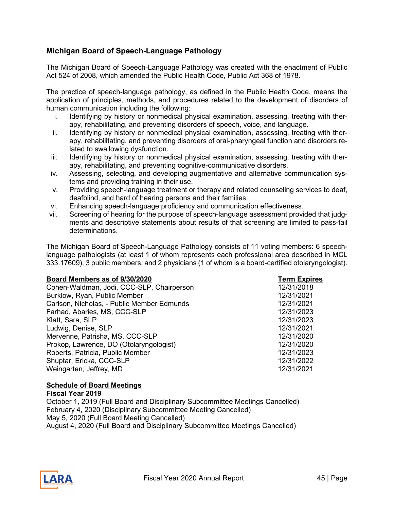# <span id="page-44-0"></span>**Michigan Board of Speech-Language Pathology**

The Michigan Board of Speech-Language Pathology was created with the enactment of Public Act 524 of 2008, which amended the Public Health Code, Public Act 368 of 1978.

The practice of speech-language pathology, as defined in the Public Health Code, means the application of principles, methods, and procedures related to the development of disorders of human communication including the following:

- i. Identifying by history or nonmedical physical examination, assessing, treating with therapy, rehabilitating, and preventing disorders of speech, voice, and language.
- ii. Identifying by history or nonmedical physical examination, assessing, treating with therapy, rehabilitating, and preventing disorders of oral-pharyngeal function and disorders related to swallowing dysfunction.
- iii. Identifying by history or nonmedical physical examination, assessing, treating with therapy, rehabilitating, and preventing cognitive-communicative disorders.
- iv. Assessing, selecting, and developing augmentative and alternative communication systems and providing training in their use.
- v. Providing speech-language treatment or therapy and related counseling services to deaf, deafblind, and hard of hearing persons and their families.
- vi. Enhancing speech-language proficiency and communication effectiveness.
- vii. Screening of hearing for the purpose of speech-language assessment provided that judgments and descriptive statements about results of that screening are limited to pass-fail determinations.

The Michigan Board of Speech-Language Pathology consists of 11 voting members: 6 speechlanguage pathologists (at least 1 of whom represents each professional area described in MCL 333.17609), 3 public members, and 2 physicians (1 of whom is a board-certified otolaryngologist).

| <b>Term Expires</b> |
|---------------------|
| 12/31/2018          |
| 12/31/2021          |
| 12/31/2021          |
| 12/31/2023          |
| 12/31/2023          |
| 12/31/2021          |
| 12/31/2020          |
| 12/31/2020          |
| 12/31/2023          |
| 12/31/2022          |
| 12/31/2021          |
|                     |

### **Schedule of Board Meetings**

**Fiscal Year 2019** October 1, 2019 (Full Board and Disciplinary Subcommittee Meetings Cancelled) February 4, 2020 (Disciplinary Subcommittee Meeting Cancelled) May 5, 2020 (Full Board Meeting Cancelled) August 4, 2020 (Full Board and Disciplinary Subcommittee Meetings Cancelled)

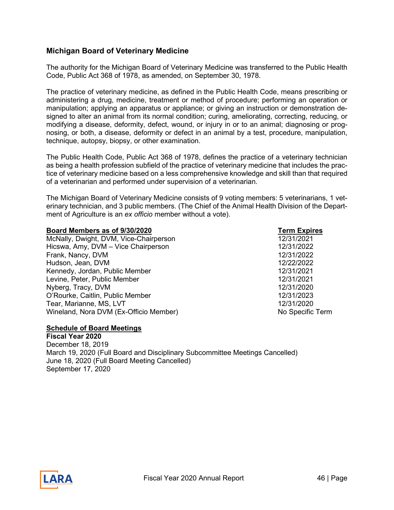# <span id="page-45-0"></span>**Michigan Board of Veterinary Medicine**

The authority for the Michigan Board of Veterinary Medicine was transferred to the Public Health Code, Public Act 368 of 1978, as amended, on September 30, 1978.

The practice of veterinary medicine, as defined in the Public Health Code, means prescribing or administering a drug, medicine, treatment or method of procedure; performing an operation or manipulation; applying an apparatus or appliance; or giving an instruction or demonstration designed to alter an animal from its normal condition; curing, ameliorating, correcting, reducing, or modifying a disease, deformity, defect, wound, or injury in or to an animal; diagnosing or prognosing, or both, a disease, deformity or defect in an animal by a test, procedure, manipulation, technique, autopsy, biopsy, or other examination.

The Public Health Code, Public Act 368 of 1978, defines the practice of a veterinary technician as being a health profession subfield of the practice of veterinary medicine that includes the practice of veterinary medicine based on a less comprehensive knowledge and skill than that required of a veterinarian and performed under supervision of a veterinarian.

The Michigan Board of Veterinary Medicine consists of 9 voting members: 5 veterinarians, 1 veterinary technician, and 3 public members. (The Chief of the Animal Health Division of the Department of Agriculture is an *ex officio* member without a vote).

| Board Members as of 9/30/2020          | <b>Term Expires</b> |
|----------------------------------------|---------------------|
| McNally, Dwight, DVM, Vice-Chairperson | 12/31/2021          |
| Hicswa, Amy, DVM - Vice Chairperson    | 12/31/2022          |
| Frank, Nancy, DVM                      | 12/31/2022          |
| Hudson, Jean, DVM                      | 12/22/2022          |
| Kennedy, Jordan, Public Member         | 12/31/2021          |
| Levine, Peter, Public Member           | 12/31/2021          |
| Nyberg, Tracy, DVM                     | 12/31/2020          |
| O'Rourke, Caitlin, Public Member       | 12/31/2023          |
| Tear, Marianne, MS, LVT                | 12/31/2020          |
| Wineland, Nora DVM (Ex-Officio Member) | No Specific Term    |

#### **Schedule of Board Meetings**

**Fiscal Year 2020** December 18, 2019 March 19, 2020 (Full Board and Disciplinary Subcommittee Meetings Cancelled) June 18, 2020 (Full Board Meeting Cancelled) September 17, 2020

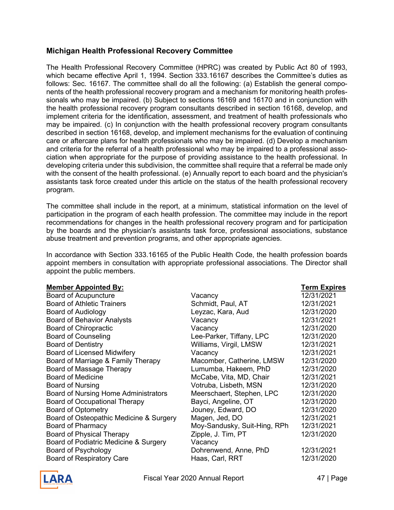# <span id="page-46-0"></span>**Michigan Health Professional Recovery Committee**

The Health Professional Recovery Committee (HPRC) was created by Public Act 80 of 1993, which became effective April 1, 1994. Section 333.16167 describes the Committee's duties as follows: Sec. 16167. The committee shall do all the following: (a) Establish the general components of the health professional recovery program and a mechanism for monitoring health professionals who may be impaired. (b) Subject to sections 16169 and 16170 and in conjunction with the health professional recovery program consultants described in section 16168, develop, and implement criteria for the identification, assessment, and treatment of health professionals who may be impaired. (c) In conjunction with the health professional recovery program consultants described in section 16168, develop, and implement mechanisms for the evaluation of continuing care or aftercare plans for health professionals who may be impaired. (d) Develop a mechanism and criteria for the referral of a health professional who may be impaired to a professional association when appropriate for the purpose of providing assistance to the health professional. In developing criteria under this subdivision, the committee shall require that a referral be made only with the consent of the health professional. (e) Annually report to each board and the physician's assistants task force created under this article on the status of the health professional recovery program.

The committee shall include in the report, at a minimum, statistical information on the level of participation in the program of each health profession. The committee may include in the report recommendations for changes in the health professional recovery program and for participation by the boards and the physician's assistants task force, professional associations, substance abuse treatment and prevention programs, and other appropriate agencies.

In accordance with Section 333.16165 of the Public Health Code, the health profession boards appoint members in consultation with appropriate professional associations. The Director shall appoint the public members.

| <b>Member Appointed By:</b>                 |                              | <b>Term Expires</b> |
|---------------------------------------------|------------------------------|---------------------|
| <b>Board of Acupuncture</b>                 | Vacancy                      | 12/31/2021          |
| <b>Board of Athletic Trainers</b>           | Schmidt, Paul, AT            | 12/31/2021          |
| <b>Board of Audiology</b>                   | Leyzac, Kara, Aud            | 12/31/2020          |
| <b>Board of Behavior Analysts</b>           | Vacancy                      | 12/31/2021          |
| <b>Board of Chiropractic</b>                | Vacancy                      | 12/31/2020          |
| <b>Board of Counseling</b>                  | Lee-Parker, Tiffany, LPC     | 12/31/2020          |
| <b>Board of Dentistry</b>                   | Williams, Virgil, LMSW       | 12/31/2021          |
| <b>Board of Licensed Midwifery</b>          | Vacancy                      | 12/31/2021          |
| Board of Marriage & Family Therapy          | Macomber, Catherine, LMSW    | 12/31/2020          |
| Board of Massage Therapy                    | Lumumba, Hakeem, PhD         | 12/31/2020          |
| <b>Board of Medicine</b>                    | McCabe, Vita, MD, Chair      | 12/31/2021          |
| <b>Board of Nursing</b>                     | Votruba, Lisbeth, MSN        | 12/31/2020          |
| <b>Board of Nursing Home Administrators</b> | Meerschaert, Stephen, LPC    | 12/31/2020          |
| Board of Occupational Therapy               | Bayci, Angeline, OT          | 12/31/2020          |
| <b>Board of Optometry</b>                   | Jouney, Edward, DO           | 12/31/2020          |
| Board of Osteopathic Medicine & Surgery     | Magen, Jed, DO               | 12/31/2021          |
| <b>Board of Pharmacy</b>                    | Moy-Sandusky, Suit-Hing, RPh | 12/31/2021          |
| <b>Board of Physical Therapy</b>            | Zipple, J. Tim, PT           | 12/31/2020          |
| Board of Podiatric Medicine & Surgery       | Vacancy                      |                     |
| <b>Board of Psychology</b>                  | Dohrenwend, Anne, PhD        | 12/31/2021          |
| <b>Board of Respiratory Care</b>            | Haas, Carl, RRT              | 12/31/2020          |
|                                             |                              |                     |

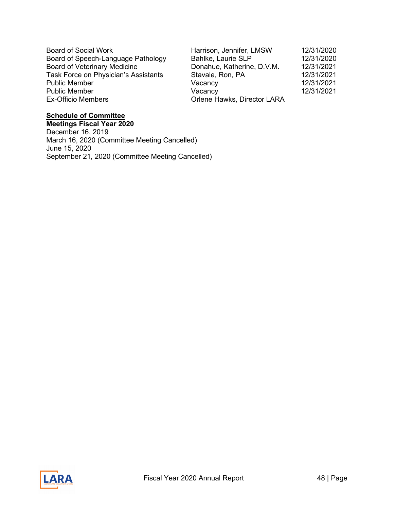Board of Social Work Board of Speech-Language Pathology Board of Veterinary Medicine Task Force on Physician's Assistants Stavale, Ron, Ron, Pa 12, 2021 Public Member Public Member Ex-Officio Members (2002)

| Harrison, Jennifer, LMSW    | 12/31/2020 |
|-----------------------------|------------|
| Bahlke, Laurie SLP          | 12/31/2020 |
| Donahue, Katherine, D.V.M.  | 12/31/2021 |
| Stavale, Ron, PA            | 12/31/2021 |
| Vacancy                     | 12/31/2021 |
| Vacancy                     | 12/31/2021 |
| Orlene Hawks, Director LARA |            |

# **Schedule of Committee**

**Meetings Fiscal Year 2020** December 16, 2019 March 16, 2020 (Committee Meeting Cancelled) June 15, 2020 September 21, 2020 (Committee Meeting Cancelled)

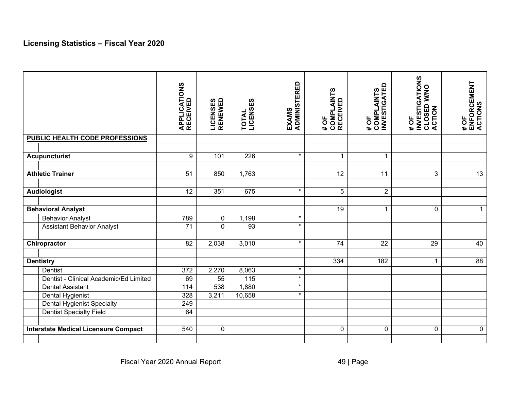# **Licensing Statistics – Fiscal Year 2020**

<span id="page-48-0"></span>

|                                             | <b>APPLICATIONS<br/>RECEIVED</b> | <b>LICENSES<br/>RENEWED</b> | LICENSES<br>TOTAL | <b>ADMINISTERED</b><br>EXAMS | <b>COMPLAINTS<br/>RECEIVED</b><br>$\overline{+}$ OF | <b>INVESTIGATED</b><br>COMPLAINTS<br># OF | <b>INVESTIGATIONS</b><br>CLOSED W/NO<br>ACTION<br>#OF | # OF<br>ENFORCEMENT<br>ACTIONS |
|---------------------------------------------|----------------------------------|-----------------------------|-------------------|------------------------------|-----------------------------------------------------|-------------------------------------------|-------------------------------------------------------|--------------------------------|
| PUBLIC HEALTH CODE PROFESSIONS              |                                  |                             |                   |                              |                                                     |                                           |                                                       |                                |
|                                             |                                  |                             |                   |                              |                                                     |                                           |                                                       |                                |
| <b>Acupuncturist</b>                        | 9                                | 101                         | 226               | $\star$                      | $\mathbf{1}$                                        | $\mathbf 1$                               |                                                       |                                |
|                                             |                                  |                             |                   |                              |                                                     |                                           |                                                       |                                |
| <b>Athletic Trainer</b>                     | $\overline{51}$                  | 850                         | 1,763             |                              | $\overline{12}$                                     | 11                                        | $\mathfrak{S}$                                        | $\overline{13}$                |
| <b>Audiologist</b>                          | 12                               | 351                         | 675               | $\star$                      | 5                                                   | $\overline{2}$                            |                                                       |                                |
|                                             |                                  |                             |                   |                              |                                                     |                                           |                                                       |                                |
| <b>Behavioral Analyst</b>                   |                                  |                             |                   |                              | $\overline{19}$                                     | $\mathbf{1}$                              | $\mathbf 0$                                           | $\mathbf{1}$                   |
| <b>Behavior Analyst</b>                     | 789                              | $\pmb{0}$                   | 1,198             | $\star$                      |                                                     |                                           |                                                       |                                |
| <b>Assistant Behavior Analyst</b>           | $\overline{71}$                  | 0                           | $\overline{93}$   | $\star$                      |                                                     |                                           |                                                       |                                |
|                                             |                                  |                             |                   |                              |                                                     |                                           |                                                       |                                |
| Chiropractor                                | 82                               | 2,038                       | 3,010             | $\star$                      | $\overline{74}$                                     | $\overline{22}$                           | $\overline{29}$                                       | 40                             |
|                                             |                                  |                             |                   |                              |                                                     |                                           |                                                       |                                |
| <b>Dentistry</b>                            |                                  |                             |                   |                              | 334                                                 | 182                                       | $\overline{1}$                                        | $\overline{88}$                |
| Dentist                                     | 372                              | 2,270                       | 8,063             | $\star$                      |                                                     |                                           |                                                       |                                |
| Dentist - Clinical Academic/Ed Limited      | 69                               | 55                          | 115               | $\star$                      |                                                     |                                           |                                                       |                                |
| <b>Dental Assistant</b>                     | 114                              | 538                         | 1,880             | $\star$                      |                                                     |                                           |                                                       |                                |
| Dental Hygienist                            | 328                              | 3,211                       | 10,658            | $\star$                      |                                                     |                                           |                                                       |                                |
| <b>Dental Hygienist Specialty</b>           | 249                              |                             |                   |                              |                                                     |                                           |                                                       |                                |
| Dentist Specialty Field                     | 64                               |                             |                   |                              |                                                     |                                           |                                                       |                                |
|                                             |                                  |                             |                   |                              |                                                     |                                           |                                                       |                                |
| <b>Interstate Medical Licensure Compact</b> | 540                              | $\pmb{0}$                   |                   |                              | $\mathbf 0$                                         | $\pmb{0}$                                 | $\mathbf 0$                                           | $\pmb{0}$                      |
|                                             |                                  |                             |                   |                              |                                                     |                                           |                                                       |                                |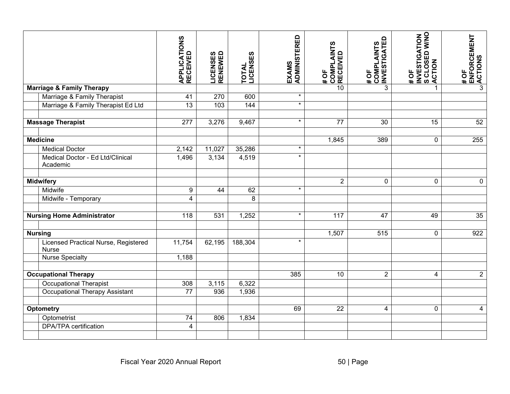|                                               | <b>APPLICATIONS<br/>RECEIVED</b> | <b>LICENSES<br/>RENEWED</b> | <b>TOTAL<br/>LICENSES</b> | <b>ADMINISTERED</b><br>EXAMS | # OF<br>COMPLAINTS<br>RECEIVED | # OF<br>COMPLAINTS<br>, INVESTIGATED | INVESTIGATION<br>S CLOSED W/NO<br>.ACTION<br>$\frac{1}{4}$ | # OF<br>ENFORCEMENT<br>, ACTIONS |
|-----------------------------------------------|----------------------------------|-----------------------------|---------------------------|------------------------------|--------------------------------|--------------------------------------|------------------------------------------------------------|----------------------------------|
| <b>Marriage &amp; Family Therapy</b>          |                                  |                             |                           |                              | 10                             | $\mathfrak{S}$                       | 1                                                          | 3                                |
| Marriage & Family Therapist                   | 41                               | 270                         | 600                       | $\star$                      |                                |                                      |                                                            |                                  |
| Marriage & Family Therapist Ed Ltd            | 13                               | 103                         | 144                       | $\star$                      |                                |                                      |                                                            |                                  |
| <b>Massage Therapist</b>                      | $\overline{277}$                 | 3,276                       | 9,467                     | $\star$                      | $\overline{77}$                | 30                                   | $\overline{15}$                                            | 52                               |
|                                               |                                  |                             |                           |                              |                                |                                      |                                                            |                                  |
| <b>Medicine</b>                               |                                  |                             |                           |                              | 1,845                          | 389                                  | $\pmb{0}$                                                  | 255                              |
| <b>Medical Doctor</b>                         | 2,142                            | 11,027                      | 35,286                    | $\star$                      |                                |                                      |                                                            |                                  |
| Medical Doctor - Ed Ltd/Clinical<br>Academic  | 1,496                            | 3,134                       | 4,519                     | $\star$                      |                                |                                      |                                                            |                                  |
| <b>Midwifery</b>                              |                                  |                             |                           |                              | $\overline{2}$                 | $\pmb{0}$                            | 0                                                          | $\mathbf 0$                      |
| Midwife                                       | $\boldsymbol{9}$                 | 44                          | 62                        | $\star$                      |                                |                                      |                                                            |                                  |
| Midwife - Temporary                           | $\overline{4}$                   |                             | $\overline{8}$            |                              |                                |                                      |                                                            |                                  |
| <b>Nursing Home Administrator</b>             | 118                              | 531                         | 1,252                     | $\star$                      | 117                            | 47                                   | 49                                                         | 35                               |
| <b>Nursing</b>                                |                                  |                             |                           |                              | 1,507                          | $\overline{515}$                     | $\mathbf 0$                                                | 922                              |
| Licensed Practical Nurse, Registered<br>Nurse | 11,754                           | 62,195                      | 188,304                   | $\star$                      |                                |                                      |                                                            |                                  |
| <b>Nurse Specialty</b>                        | 1,188                            |                             |                           |                              |                                |                                      |                                                            |                                  |
| <b>Occupational Therapy</b>                   |                                  |                             |                           | 385                          | 10                             | $\overline{2}$                       | $\overline{4}$                                             | $\overline{2}$                   |
| <b>Occupational Therapist</b>                 | 308                              | 3,115                       | 6,322                     |                              |                                |                                      |                                                            |                                  |
| Occupational Therapy Assistant                | 77                               | 936                         | 1,936                     |                              |                                |                                      |                                                            |                                  |
| <b>Optometry</b>                              |                                  |                             |                           | 69                           | $\overline{22}$                | $\overline{\mathbf{4}}$              | $\mathbf 0$                                                | $\overline{\mathbf{4}}$          |
| Optometrist                                   | $\overline{74}$                  | 806                         | 1,834                     |                              |                                |                                      |                                                            |                                  |
| <b>DPA/TPA</b> certification                  | $\overline{\mathbf{4}}$          |                             |                           |                              |                                |                                      |                                                            |                                  |
|                                               | Fiscal Year 2020 Annual Report   |                             |                           |                              |                                | $50$   Page                          |                                                            |                                  |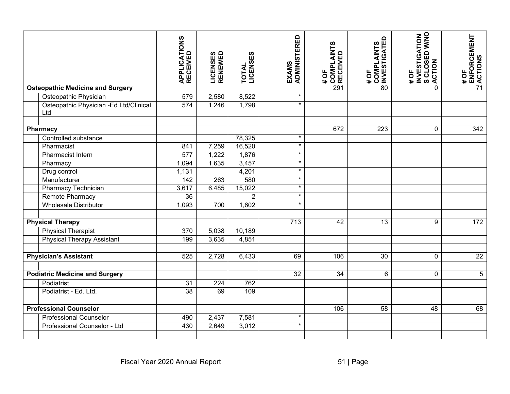|                                               | <b>APPLICATIONS<br/>RECEIVED</b> | <b>LICENSES<br/>RENEWED</b> | LICENSES<br><b>TOTAL</b> | <b>ADMINISTERED</b><br>EXAMS | # OF<br> COMPLAINTS<br>!RECEIVED | # OF<br>COMPLAINTS<br> INVESTIGATED | INVESTIGATION<br>S CLOSED W/NO<br>, ACTION<br>#OF | # OF<br>ENFORCEMENT<br>!ACTIONS |
|-----------------------------------------------|----------------------------------|-----------------------------|--------------------------|------------------------------|----------------------------------|-------------------------------------|---------------------------------------------------|---------------------------------|
| <b>Osteopathic Medicine and Surgery</b>       |                                  |                             |                          |                              | 291                              | $\overline{80}$                     | $\mathbf 0$                                       | $\overline{71}$                 |
| Osteopathic Physician                         | 579                              | 2,580                       | 8,522                    | $\star$                      |                                  |                                     |                                                   |                                 |
| Osteopathic Physician -Ed Ltd/Clinical<br>Ltd | $\overline{574}$                 | 1,246                       | 1,798                    | $\ast$                       |                                  |                                     |                                                   |                                 |
|                                               |                                  |                             |                          |                              |                                  |                                     |                                                   |                                 |
| <b>Pharmacy</b>                               |                                  |                             |                          |                              | 672                              | $\overline{223}$                    | $\mathbf 0$                                       | 342                             |
| Controlled substance                          |                                  |                             | 78,325                   | $\star$                      |                                  |                                     |                                                   |                                 |
| Pharmacist                                    | 841                              | 7,259                       | 16,520                   | $\star$                      |                                  |                                     |                                                   |                                 |
| Pharmacist Intern                             | $\overline{577}$                 | 1,222                       | 1,876                    | $\star$                      |                                  |                                     |                                                   |                                 |
| Pharmacy                                      | 1,094                            | 1,635                       | 3,457                    | $\star$                      |                                  |                                     |                                                   |                                 |
| Drug control                                  | 1,131                            |                             | 4,201                    | $\star$                      |                                  |                                     |                                                   |                                 |
| Manufacturer                                  | 142                              | 263                         | 580                      | $\star$                      |                                  |                                     |                                                   |                                 |
| Pharmacy Technician                           | 3,617                            | 6,485                       | 15,022                   | $\star$                      |                                  |                                     |                                                   |                                 |
| Remote Pharmacy                               | 36                               |                             | $\overline{2}$           | $\star$                      |                                  |                                     |                                                   |                                 |
| <b>Wholesale Distributor</b>                  | 1,093                            | 700                         | 1,602                    | $\star$                      |                                  |                                     |                                                   |                                 |
| <b>Physical Therapy</b>                       |                                  |                             |                          | $\frac{1}{713}$              | $\overline{42}$                  | $\overline{13}$                     | $9\,$                                             | 172                             |
| <b>Physical Therapist</b>                     | 370                              | 5,038                       | 10,189                   |                              |                                  |                                     |                                                   |                                 |
| <b>Physical Therapy Assistant</b>             | 199                              | 3,635                       | 4,851                    |                              |                                  |                                     |                                                   |                                 |
| <b>Physician's Assistant</b>                  | 525                              | 2,728                       | 6,433                    | 69                           | 106                              | 30                                  | $\mathbf 0$                                       | $\overline{22}$                 |
| <b>Podiatric Medicine and Surgery</b>         |                                  |                             |                          | 32                           | 34                               | 6                                   | $\mathbf 0$                                       | $5\phantom{.0}$                 |
| Podiatrist                                    | 31                               | 224                         | 762                      |                              |                                  |                                     |                                                   |                                 |
| Podiatrist - Ed. Ltd.                         | 38                               | 69                          | 109                      |                              |                                  |                                     |                                                   |                                 |
| <b>Professional Counselor</b>                 |                                  |                             |                          |                              | 106                              | $\overline{58}$                     | $\overline{48}$                                   | 68                              |
| <b>Professional Counselor</b>                 | 490                              | 2,437                       | 7,581                    | $\star$                      |                                  |                                     |                                                   |                                 |
| Professional Counselor - Ltd                  | 430                              | 2,649                       | 3,012                    | $\star$                      |                                  |                                     |                                                   |                                 |
| Fiscal Year 2020 Annual Report<br>$51$   Page |                                  |                             |                          |                              |                                  |                                     |                                                   |                                 |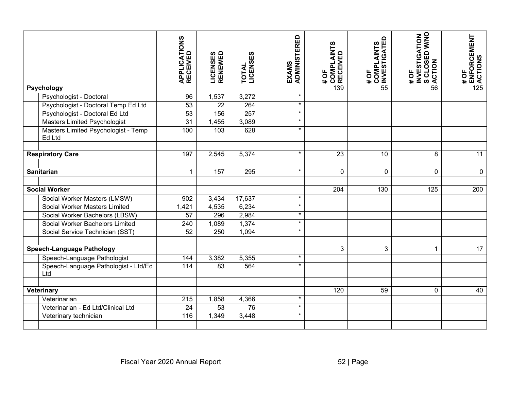|                                  |                                                                   | <b>APPLICATIONS<br/>RECEIVED</b> | <b>LICENSES</b><br>RENEWED | LICENSES<br><b>TOTAL</b> | EXAMS<br>ADMINISTERED | # OF<br> COMPLAINTS<br> RECEIVED | COMPLAINTS<br> INVESTIGATED<br>#OF | INVESTIGATION<br>S CLOSED W/NO<br>}ACTION<br>#OF | # OF<br>⊾ENFORCEMENT<br>⊰ACTIONS |
|----------------------------------|-------------------------------------------------------------------|----------------------------------|----------------------------|--------------------------|-----------------------|----------------------------------|------------------------------------|--------------------------------------------------|----------------------------------|
|                                  | <b>Psychology</b>                                                 |                                  |                            |                          |                       | 139                              | $\overline{55}$                    | $\overline{56}$                                  | 125                              |
|                                  | Psychologist - Doctoral                                           | 96                               | 1,537                      | 3,272                    | $\star$               |                                  |                                    |                                                  |                                  |
|                                  | Psychologist - Doctoral Temp Ed Ltd                               | 53                               | $\overline{22}$            | 264                      | $\star$               |                                  |                                    |                                                  |                                  |
|                                  | Psychologist - Doctoral Ed Ltd                                    | 53                               | 156                        | 257                      | $\star$               |                                  |                                    |                                                  |                                  |
|                                  | <b>Masters Limited Psychologist</b>                               | 31                               | 1,455                      | 3,089                    | $\star$               |                                  |                                    |                                                  |                                  |
|                                  | Masters Limited Psychologist - Temp<br>Ed Ltd                     | 100                              | 103                        | 628                      | $\star$               |                                  |                                    |                                                  |                                  |
| <b>Respiratory Care</b>          |                                                                   | 197                              | 2,545                      | 5,374                    | $\star$               | $\overline{23}$                  | $\overline{10}$                    | 8                                                | $\overline{11}$                  |
|                                  |                                                                   |                                  |                            |                          |                       |                                  |                                    |                                                  |                                  |
| Sanitarian                       |                                                                   | $\mathbf{1}$                     | 157                        | 295                      | $\star$               | $\mathbf 0$                      | $\mathbf 0$                        | $\mathbf 0$                                      | $\boldsymbol{0}$                 |
| <b>Social Worker</b>             |                                                                   |                                  |                            |                          |                       | 204                              | 130                                | $\frac{1}{25}$                                   | 200                              |
|                                  |                                                                   |                                  |                            |                          | $\star$               |                                  |                                    |                                                  |                                  |
|                                  | Social Worker Masters (LMSW)                                      | 902                              | 3,434                      | 17,637                   | $\star$               |                                  |                                    |                                                  |                                  |
|                                  | Social Worker Masters Limited                                     | 1,421                            | 4,535                      | 6,234                    | $\star$               |                                  |                                    |                                                  |                                  |
|                                  | Social Worker Bachelors (LBSW)<br>Social Worker Bachelors Limited | 57                               | 296<br>1,089               | 2,984<br>1,374           | $\star$               |                                  |                                    |                                                  |                                  |
|                                  |                                                                   | 240<br>$\overline{52}$           | 250                        |                          | $\star$               |                                  |                                    |                                                  |                                  |
|                                  | Social Service Technician (SST)                                   |                                  |                            | 1,094                    |                       |                                  |                                    |                                                  |                                  |
| <b>Speech-Language Pathology</b> |                                                                   |                                  |                            |                          |                       | 3                                | 3                                  | $\mathbf{1}$                                     | $\overline{17}$                  |
|                                  | Speech-Language Pathologist                                       | 144                              | 3,382                      | 5,355                    | $\star$               |                                  |                                    |                                                  |                                  |
|                                  | Speech-Language Pathologist - Ltd/Ed<br>Ltd                       | $\frac{114}{114}$                | $\overline{83}$            | 564                      | $\star$               |                                  |                                    |                                                  |                                  |
|                                  |                                                                   |                                  |                            |                          |                       |                                  |                                    |                                                  |                                  |
|                                  | Veterinary                                                        |                                  |                            |                          | $\star$               | 120                              | 59                                 | $\mathbf 0$                                      | 40                               |
|                                  | Veterinarian                                                      | 215                              | 1,858                      | 4,366                    |                       |                                  |                                    |                                                  |                                  |
|                                  | Veterinarian - Ed Ltd/Clinical Ltd                                | $\overline{24}$                  | 53                         | 76                       | $\star$               |                                  |                                    |                                                  |                                  |
|                                  | Veterinary technician                                             | 116                              | 1,349                      | 3,448                    | $\star$               |                                  |                                    |                                                  |                                  |
|                                  |                                                                   | Fiscal Year 2020 Annual Report   |                            |                          |                       |                                  | 52   Page                          |                                                  |                                  |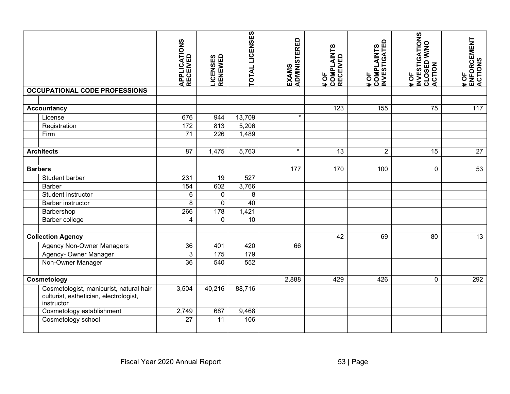|                                             |                                                                                                 | <b>APPLICATIONS<br/>RECEIVED</b> | <b>LICENSES<br/>RENEWED</b> | <b>TOTAL LICENSES</b> | EXAMS<br>ADMINISTERED | # OF<br>COMPLAINTS<br>RECEIVED | # OF<br>COMPLAINTS<br>INVESTIGATED | <b>INVESTIGATIONS</b><br>CLOSED W/NO<br>ACTION<br>#OF | <b>ENFORCEMENT<br/>ACTIONS</b><br>#OF |
|---------------------------------------------|-------------------------------------------------------------------------------------------------|----------------------------------|-----------------------------|-----------------------|-----------------------|--------------------------------|------------------------------------|-------------------------------------------------------|---------------------------------------|
|                                             | <b>OCCUPATIONAL CODE PROFESSIONS</b>                                                            |                                  |                             |                       |                       |                                |                                    |                                                       |                                       |
|                                             |                                                                                                 |                                  |                             |                       |                       |                                |                                    |                                                       |                                       |
|                                             | <b>Accountancy</b>                                                                              |                                  |                             |                       |                       | 123                            | 155                                | $\overline{75}$                                       | $\frac{117}{117}$                     |
|                                             | License                                                                                         | 676                              | 944                         | 13,709                | $\star$               |                                |                                    |                                                       |                                       |
|                                             | Registration                                                                                    | 172                              | 813                         | 5,206                 |                       |                                |                                    |                                                       |                                       |
|                                             | Firm                                                                                            | 71                               | 226                         | 1,489                 |                       |                                |                                    |                                                       |                                       |
|                                             |                                                                                                 |                                  |                             |                       |                       |                                |                                    |                                                       |                                       |
|                                             | <b>Architects</b>                                                                               | 87                               | 1,475                       | 5,763                 | $\star$               | 13                             | $\overline{2}$                     | 15                                                    | 27                                    |
|                                             |                                                                                                 |                                  |                             |                       |                       |                                |                                    |                                                       |                                       |
| <b>Barbers</b>                              |                                                                                                 |                                  |                             |                       | 177                   | 170                            | 100                                | $\mathbf 0$                                           | 53                                    |
|                                             | Student barber                                                                                  | 231                              | 19                          | 527                   |                       |                                |                                    |                                                       |                                       |
|                                             | <b>Barber</b>                                                                                   | 154                              | 602                         | 3,766                 |                       |                                |                                    |                                                       |                                       |
|                                             | Student instructor                                                                              | $\overline{6}$                   | 0                           | $\overline{8}$        |                       |                                |                                    |                                                       |                                       |
|                                             | <b>Barber instructor</b>                                                                        | 8                                | $\mathbf 0$                 | 40                    |                       |                                |                                    |                                                       |                                       |
|                                             | Barbershop                                                                                      | 266                              | 178                         | 1,421                 |                       |                                |                                    |                                                       |                                       |
|                                             | Barber college                                                                                  | 4                                | 0                           | 10                    |                       |                                |                                    |                                                       |                                       |
|                                             |                                                                                                 |                                  |                             |                       |                       |                                |                                    |                                                       |                                       |
| <b>Collection Agency</b>                    |                                                                                                 |                                  |                             |                       |                       | 42                             | 69                                 | 80                                                    | 13                                    |
|                                             | <b>Agency Non-Owner Managers</b>                                                                | $\overline{36}$                  | 401                         | 420                   | 66                    |                                |                                    |                                                       |                                       |
|                                             | Agency- Owner Manager                                                                           | $\mathbf{3}$                     | $\frac{175}{175}$           | 179                   |                       |                                |                                    |                                                       |                                       |
|                                             | Non-Owner Manager                                                                               | $\overline{36}$                  | 540                         | 552                   |                       |                                |                                    |                                                       |                                       |
|                                             |                                                                                                 |                                  |                             |                       |                       |                                |                                    |                                                       |                                       |
| Cosmetology                                 |                                                                                                 |                                  |                             |                       | 2,888                 | 429                            | 426                                | $\mathbf 0$                                           | 292                                   |
|                                             | Cosmetologist, manicurist, natural hair<br>culturist, esthetician, electrologist,<br>instructor | 3,504                            | 40,216                      | 88,716                |                       |                                |                                    |                                                       |                                       |
|                                             | Cosmetology establishment                                                                       | $\overline{2,749}$               | 687                         | 9,468                 |                       |                                |                                    |                                                       |                                       |
|                                             | Cosmetology school                                                                              | $\overline{27}$                  | 11                          | 106                   |                       |                                |                                    |                                                       |                                       |
|                                             |                                                                                                 |                                  |                             |                       |                       |                                |                                    |                                                       |                                       |
| Fiscal Year 2020 Annual Report<br>53   Page |                                                                                                 |                                  |                             |                       |                       |                                |                                    |                                                       |                                       |